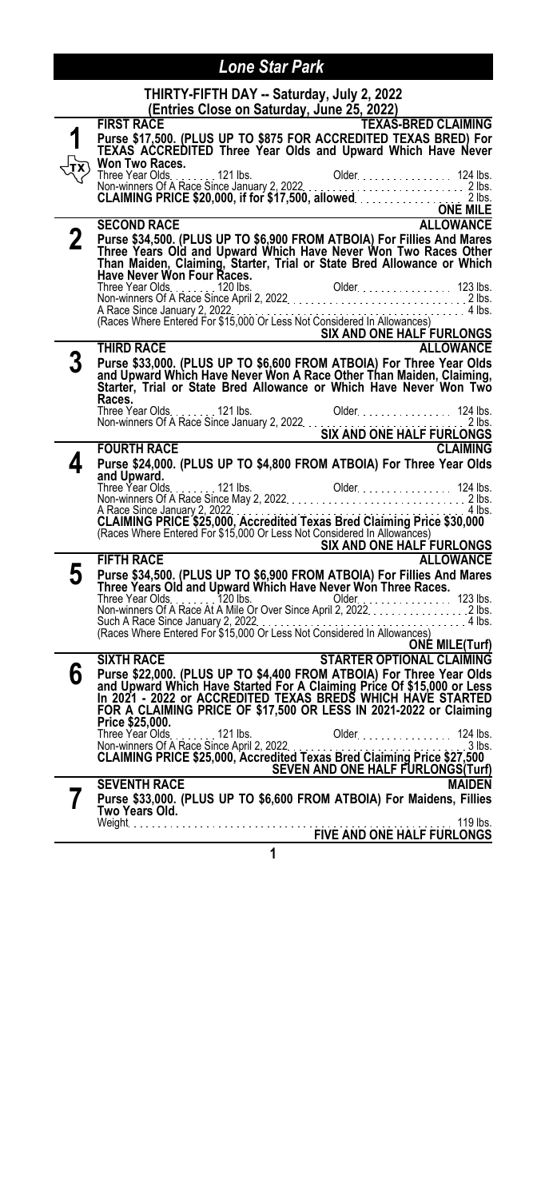|    | THIRTY-FIFTH DAY -- Saturday, July 2, 2022<br>(Entries Close on Saturday, June 25, 2022)                                                                                                                                                                                                              |
|----|-------------------------------------------------------------------------------------------------------------------------------------------------------------------------------------------------------------------------------------------------------------------------------------------------------|
|    | <b>FIRST RACE</b><br><b>TEXAS-BRED CLAIMING</b><br>Purse \$17,500. (PLUS UP TO \$875 FOR ACCREDITED TEXAS BRED) For<br>TEXAS ACCREDITED Three Year Olds and Upward Which Have Never<br>Won Two Races.                                                                                                 |
|    | Three Year Olds. 124 lbs. 0dder. 124 lbs. 124 lbs. 124 lbs. 124 lbs. 124 lbs. 124 lbs. 124 lbs. 124 lbs. 124 lbs. 124 lbs. 125 lbs. 125 lbs. 125 lbs. 125 lbs. 125 lbs. 125 lbs. 125 lbs. 125 lbs. 125 lbs. 125 lbs. 125 lbs.                                                                         |
| 2  | <b>ALLOWANCE</b><br><b>SECOND RACE</b><br>Purse \$34,500. (PLUS UP TO \$6,900 FROM ATBOIA) For Fillies And Mares<br>Three Years Old and Upward Which Have Never Won Two Races Other<br>Than Maiden, Claiming, Starter, Trial or State Bred Allowance or Which<br>Have Never Won Four Races.           |
|    | A Race Since January 2, 2022.<br>SIX AND ONE HALF FURLONGS                                                                                                                                                                                                                                            |
|    | <b>ALLOWANCE</b><br>THIRD RACE                                                                                                                                                                                                                                                                        |
|    | Purse \$33,000. (PLUS UP TO \$6,600 FROM ATBOIA) For Three Year Olds<br>and Upward Which Have Never Won A Race Other Than Maiden, Claiming,<br>Starter, Trial or State Bred Allowance or Which Have Never Won Two<br>Races.                                                                           |
|    |                                                                                                                                                                                                                                                                                                       |
|    | <b>FOURTH RACE</b><br><b>CLAIMING</b>                                                                                                                                                                                                                                                                 |
| Δ. | Purse \$24,000. (PLUS UP TO \$4,800 FROM ATBOIA) For Three Year Olds<br>and Upward.                                                                                                                                                                                                                   |
|    | A Race Since January 2, 2022<br>CLAIMING PRICE \$25,000, Accredited Texas Bred Claiming Price \$30,000<br>(Races Where Entered For \$15,000 Or Less Not Considered In Allowances)<br>4 lbs.<br>SIX AND ONE HALF FURLONGS                                                                              |
|    | <b>FIFTH RACE</b><br><b>ALLOWANCE</b>                                                                                                                                                                                                                                                                 |
| 5  | Purse \$34,500. (PLUS UP TO \$6,900 FROM ATBOIA) For Fillies And Mares<br>Three Years Old and Upward Which Have Never Won Three Races.<br>Such A Race Since January 2, 2022.<br>(Races Where Entered For \$15,000 Or Less Not Considered In Allowances)<br>. 4 lbs.<br><b>ONÉ MILE(Turf)</b>          |
|    | <b>STARTER OPTIONAL CLAIMING</b><br><b>SIXTH RACE</b>                                                                                                                                                                                                                                                 |
| 6  | Purse \$22,000. (PLUS UP TO \$4,400 FROM ATBOIA) For Three Year Olds<br>and Upward Which Have Started For A Claiming Price Of \$15,000 or Less<br>In 2021 - 2022 or ACCREDITED TEXAS BREDS WHICH HAVE STARTED<br>FOR A CLAIMING PRICE OF \$17,500 OR LESS IN 2021-2022 or Claiming<br>Price \$25,000. |
|    | 124 lbs.<br>3 lbs.<br>SEVEN AND ONE HALF FURLONGS(Turf)                                                                                                                                                                                                                                               |
|    | <b>SEVENTH RACE</b><br><b>MAIDEN</b><br>Purse \$33,000. (PLUS UP TO \$6,600 FROM ATBOIA) For Maidens, Fillies<br>Two Years Old.<br>119 lbs.                                                                                                                                                           |
|    | <b>FIVE AND ONE HALF FURLONGS</b>                                                                                                                                                                                                                                                                     |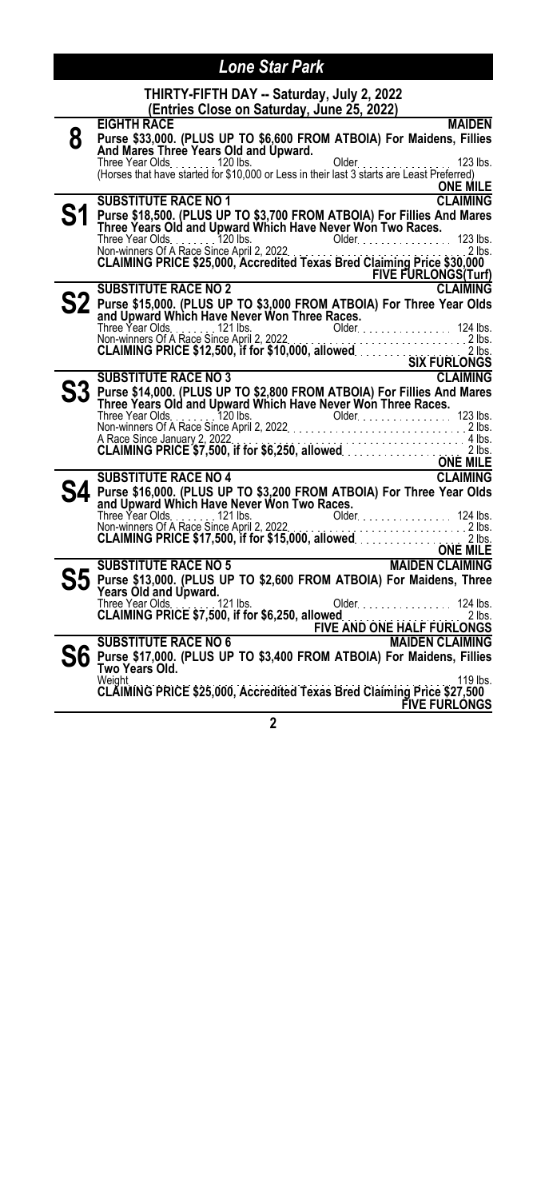| THIRTY-FIFTH DAY -- Saturday, July 2, 2022<br>(Entries Close on Saturday, June 25, 2022)                                                                                                                                                                     |
|--------------------------------------------------------------------------------------------------------------------------------------------------------------------------------------------------------------------------------------------------------------|
| <b>MAIDEN</b><br><b>EIGHTH RACE</b>                                                                                                                                                                                                                          |
| Purse \$33,000. (PLUS UP TO \$6,600 FROM ATBOIA) For Maidens, Fillies<br>And Mares Three Years Old and Upward.                                                                                                                                               |
|                                                                                                                                                                                                                                                              |
|                                                                                                                                                                                                                                                              |
| <u>ONE MILE</u>                                                                                                                                                                                                                                              |
| <b>CLAIMING</b><br><b>SUBSTITUTE RACE NO 1</b>                                                                                                                                                                                                               |
| Purse \$18,500. (PLUS UP TO \$3,700 FROM ATBOIA) For Fillies And Mares<br>Three Years Old and Upward Which Have Never Won Two Races.                                                                                                                         |
|                                                                                                                                                                                                                                                              |
| Three Year Olds. The Change of A Race Since April 2, 2022.<br>Non-winners Of A Race Since April 2, 2022. 2023. 2011. 2016. 2016. 2016. 2016. 2016. 2016. 2016. 2016. 2017.                                                                                   |
|                                                                                                                                                                                                                                                              |
| SUBSTITUTE RACE NO 2<br>SUBSTITUTE RACE NO 2<br>Pure Case of Case of Case of Case of Case of Case of Case of Case of Case of Case of Case of Case of Case of C                                                                                               |
|                                                                                                                                                                                                                                                              |
| Purse \$15,000. (PLUS UP TO \$3,000 FROM ATBOIA) For Three Year Olds<br>and Upward Which Have Never Won Three Races.                                                                                                                                         |
|                                                                                                                                                                                                                                                              |
|                                                                                                                                                                                                                                                              |
|                                                                                                                                                                                                                                                              |
|                                                                                                                                                                                                                                                              |
| <b>SUBSTITUTE RACE NO 3</b><br>CLAIMING                                                                                                                                                                                                                      |
| Purse \$14,000. (PLUS UP TO \$2,800 FROM ATBOIA) For Fillies And Mares<br>Three Years Old and Upward Which Have Never Won Three Races.                                                                                                                       |
|                                                                                                                                                                                                                                                              |
|                                                                                                                                                                                                                                                              |
| A Race Since January 2, 2022<br><b>CLAIMING PRICE \$7,500, if for \$6,250, allowed.</b>                                                                                                                                                                      |
|                                                                                                                                                                                                                                                              |
| <b>EXAMPLE 2018 CONE MILE</b>                                                                                                                                                                                                                                |
| <b>SUBSTITUTE RACE NO 4</b><br>CLAIMING                                                                                                                                                                                                                      |
|                                                                                                                                                                                                                                                              |
|                                                                                                                                                                                                                                                              |
|                                                                                                                                                                                                                                                              |
| Purse \$16,000. (PLUS UP TO \$3,200 FROM ATBOIA) For Three Year Olds<br>and Upward Which Have Never Won Two Races.<br>Three Year Olds<br>Non-winners Of A Race Since April 2, 2022.<br>CLAIMING PRICE \$17,500, if for \$15,000, allowed.<br><b>ONE MILE</b> |
| ONE MILE<br>MAIDEN CLAIMING<br><b>SUBSTITUTE RACE NO 5</b>                                                                                                                                                                                                   |
|                                                                                                                                                                                                                                                              |
| Purse \$13,000. (PLUS UP TO \$2,600 FROM ATBOIA) For Maidens, Three<br>Years Old and Upward.                                                                                                                                                                 |
|                                                                                                                                                                                                                                                              |
|                                                                                                                                                                                                                                                              |
| Three Year Olds. 121 lbs. 0lder. 124 lbs. 124 lbs. 124 lbs. 124 lbs. 124 lbs. 124 lbs. 124 lbs. 124 lbs. 124 lbs. 124 lbs. 124 lbs. 124 lbs. 124 lbs. 124 lbs. 124 lbs. 124 lbs. 124 lbs. 124 lbs. 124 lbs. 124 lbs. 124 lbs.                                |
|                                                                                                                                                                                                                                                              |
|                                                                                                                                                                                                                                                              |
| Two Years Old.<br>Weiaht<br>119 lbs.                                                                                                                                                                                                                         |
| CLAIMING PRICE \$25,000, Accredited Texas Bred Claiming Price \$27,500                                                                                                                                                                                       |
| <b>FIVE FURLONGS</b>                                                                                                                                                                                                                                         |
| $\overline{2}$                                                                                                                                                                                                                                               |
|                                                                                                                                                                                                                                                              |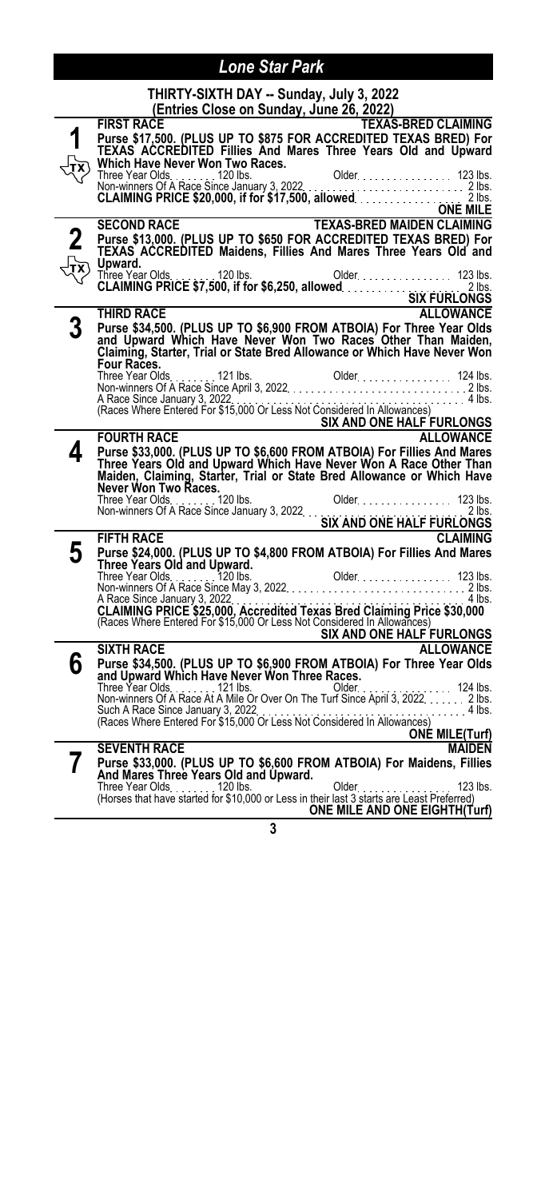|   | THIRTY-SIXTH DAY -- Sunday, July 3, 2022<br>(Entries Close on Sunday, June 26, 2022)                                                                                                                                                                        |
|---|-------------------------------------------------------------------------------------------------------------------------------------------------------------------------------------------------------------------------------------------------------------|
|   | <b>TEXAS-BRED CLAIMING</b><br><b>FIRST RACE</b>                                                                                                                                                                                                             |
|   | Purse \$17,500. (PLUS UP TO \$875 FOR ACCREDITED TEXAS BRED) For<br>TEXAS ACCREDITED Fillies_And Mares Three Years Old and Upward                                                                                                                           |
|   |                                                                                                                                                                                                                                                             |
|   | Which Have Never Won Two Races.<br>Three Year Olds. (120 lbs. 00. 00. 00. 00. 123 lbs. 21. 123 lbs. 21. 123 lbs. 21. 123 lbs. 21. 123 lbs. 21. 1<br>CLAIMING PRICE \$20,000, if for \$17,500, allowed. 20. 20. 21. 21. 20. 20. 20. 2                        |
|   |                                                                                                                                                                                                                                                             |
|   |                                                                                                                                                                                                                                                             |
|   | <b>TEXAS-BRED MAIDEN CLAIMING</b><br><b>SECOND RACE</b>                                                                                                                                                                                                     |
|   | Purse \$13,000. (PLUS UP TO \$650 FOR ACCREDITED TEXAS BRED) For<br>TEXAS ACCREDITED Maidens, Fillies And Mares Three Years Old and                                                                                                                         |
|   | Upward.                                                                                                                                                                                                                                                     |
|   |                                                                                                                                                                                                                                                             |
|   |                                                                                                                                                                                                                                                             |
| 3 | <b>THIRD RACE</b><br><b>ALLOWANCE</b><br>Purse \$34,500. (PLUS UP TO \$6,900 FROM ATBOIA) For Three Year Olds                                                                                                                                               |
|   | and Upward Which Have Never Won Two Races Other Than Maiden,                                                                                                                                                                                                |
|   | Claiming, Starter, Trial or State Bred Allowance or Which Have Never Won                                                                                                                                                                                    |
|   | Four Races.                                                                                                                                                                                                                                                 |
|   | A Race Since January 3, 2022.                                                                                                                                                                                                                               |
|   | . 4 lbs.<br>Rivace Since January 3, 2022<br>(Races Where Entered For \$15,000 Or Less Not Considered In Allowances)                                                                                                                                         |
|   | <b>FOURTH RACE</b><br><b>EQURTH RACE</b><br><b>EQURTH RACE</b>                                                                                                                                                                                              |
| 4 |                                                                                                                                                                                                                                                             |
|   |                                                                                                                                                                                                                                                             |
|   |                                                                                                                                                                                                                                                             |
|   | Purse \$33,000. (PLUS UP TO \$6,600 FROM ATBOIA) For Fillies And Mares<br>Three Years Old and Upward Which Have Never Won A Race Other Than                                                                                                                 |
|   | Maiden, Claiming, Starter, Trial or State Bred Allowance or Which Have<br>Never Won Two Races.                                                                                                                                                              |
|   |                                                                                                                                                                                                                                                             |
|   | <b>FIFTH RACE</b><br><b>CLAIMING</b>                                                                                                                                                                                                                        |
| 5 |                                                                                                                                                                                                                                                             |
|   | Purse \$24,000. (PLUS UP TO \$4,800 FROM ATBOIA) For Fillies And Mares<br>Three Years Old and Upward.                                                                                                                                                       |
|   |                                                                                                                                                                                                                                                             |
|   | $.4$ lbs.                                                                                                                                                                                                                                                   |
|   | A Race Since January 3, 2022<br>CLAIMING PRICE \$25,000, Accredited Texas Bred Claiming Price \$30,000<br>(Races Where Entered For \$15,000 Or Less Not Considered In Allowances)                                                                           |
|   | SIX AND ONE HALF FURLONGS                                                                                                                                                                                                                                   |
|   | <b>SIXTH RACE</b><br><b>ALLOWANCE</b>                                                                                                                                                                                                                       |
| 6 |                                                                                                                                                                                                                                                             |
|   |                                                                                                                                                                                                                                                             |
|   | <b>Purse \$34,500. (PLUS UP TO \$6,900 FROM ATBOIA) For Three Year Olds<br/>and Upward Which Have Never Won Three Races.</b><br>Three Year Olds<br>Non-winners Of A Race At A Mile Or Over On The Turf Since April 3, 2022. 2. 2. 2. 12. 2. 12.<br>. 4 lbs. |
|   | Such A Race Since January 3, 2022<br>(Races Where Entered For \$15,000 Or Less Not Considered In Allowances)                                                                                                                                                |
|   | <b>EXAMPLE CONFIDENTIAL CONFIDENTIAL CONFIDENTIAL CONFIDENTIAL CONFIDENTIAL CONFIDENTIAL CONFIDENTIAL CONFIDENTI</b><br><b>SEVENTH RACE</b><br><b>MAIDEN</b>                                                                                                |
| 7 | Purse \$33,000. (PLUS UP TO \$6,600 FROM ATBOIA) For Maidens, Fillies                                                                                                                                                                                       |
|   | And Mares Three Years Old and Upward.<br>$\sim$ 123 lbs.                                                                                                                                                                                                    |
|   | <b>ONE MILE AND ONE EIGHTH(Turf)</b>                                                                                                                                                                                                                        |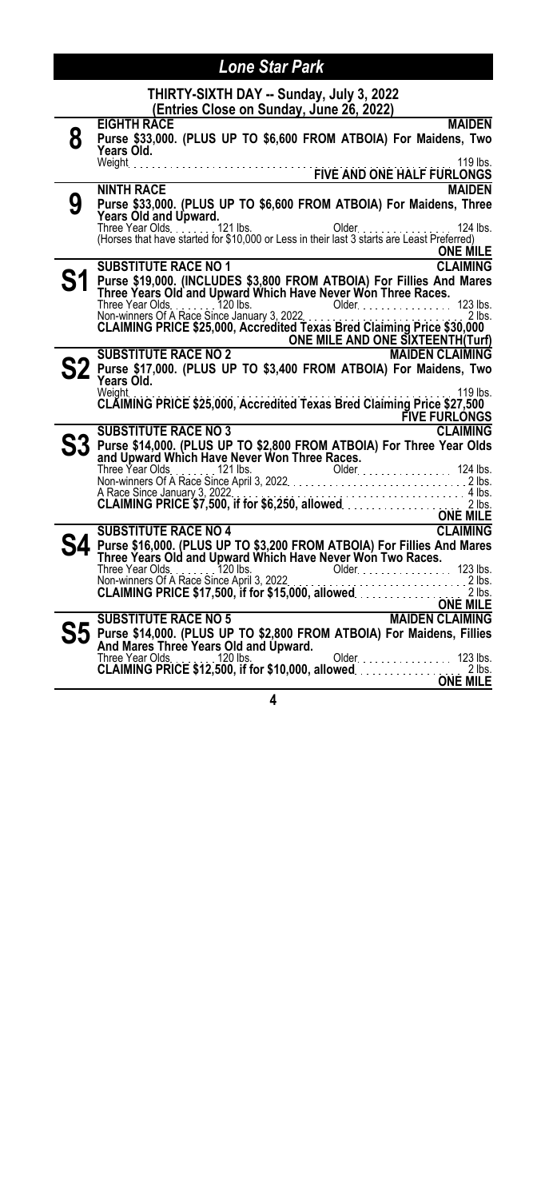|    | Lone Star Park                                                                                                                                                                                                                                                                                                                                                                                                                                            |
|----|-----------------------------------------------------------------------------------------------------------------------------------------------------------------------------------------------------------------------------------------------------------------------------------------------------------------------------------------------------------------------------------------------------------------------------------------------------------|
|    | THIRTY-SIXTH DAY -- Sunday, July 3, 2022<br>(Entries Close on Sunday, June 26, 2022)                                                                                                                                                                                                                                                                                                                                                                      |
| 8  | <b>MAIDEN</b><br><b>EIGHTH RACE</b><br>Purse \$33,000. (PLUS UP TO \$6,600 FROM ATBOIA) For Maidens, Two<br>Years Old.                                                                                                                                                                                                                                                                                                                                    |
|    | <b>MAIDEN</b><br>NINTH RACE                                                                                                                                                                                                                                                                                                                                                                                                                               |
| 9  | Purse \$33,000. (PLUS UP TO \$6,600 FROM ATBOIA) For Maidens, Three<br>Years Old and Upward.<br><b>ONE MILE</b>                                                                                                                                                                                                                                                                                                                                           |
|    | <b>SUBSTITUTE RACE NO 1</b><br><b>CLAIMING</b>                                                                                                                                                                                                                                                                                                                                                                                                            |
| S1 | Purse \$19,000. (INCLUDES \$3,800 FROM ATBOIA) For Fillies And Mares<br>Three Years Old and Upward Which Have Never Won Three Races.<br>Three Year Olds. The Three Year Olds. Three Year Olds. Three Year Olds. Three Year Olds. Three Year Olds. 2022<br>Non-winners Of A Race Since January 3, 2022. CLAIMING PRICE \$25,000, Accredited Texas Bred Claiming Price \$30,0<br>SUBSTITUTE RACE NO 2<br>ONE MILE AND ONE SIXTEENTH(Turf)<br>Purse \$47.000 |
|    | ${\bf S2}$ Purse \$17,000. (PLUS UP TO \$3,400 FROM ATBOIA) For Maidens, Two<br>Years Old.<br>Weight.<br>119 lbs.<br>CLAIMING PRICE \$25,000, Accredited Texas Bred Claiming Price \$27,500<br><b>FIVE FURLONGS</b>                                                                                                                                                                                                                                       |
|    | <b>CLAIMING</b><br><b>SUBSTITUTE RACE NO 3</b>                                                                                                                                                                                                                                                                                                                                                                                                            |
|    | Purse \$14,000. (PLUS UP TO \$2,800 FROM ATBOIA) For Three Year Olds<br>A Race Since January 3, 2022<br>CLAIMING PRICE \$7,500, if for \$6,250, allowed<br>ONE MILE<br>CLAIMING                                                                                                                                                                                                                                                                           |
|    | <b>SUBSTITUTE RACE NO 4</b>                                                                                                                                                                                                                                                                                                                                                                                                                               |
|    | Purse \$16,000. (PLUS UP TO \$3,200 FROM ATBOIA) For Fillies And Mares<br>Three Years Old and Upward Which Have Never Won Two Races.<br>Three Years Old and Upward Which Have Never Won Two Races.<br>Non-winners Of A Race Since April 3, 2022<br><b>ONE MILE</b>                                                                                                                                                                                        |
|    | ONE MILE<br>MAIDEN CLAIMING<br><b>SUBSTITUTE RACE NO 5</b>                                                                                                                                                                                                                                                                                                                                                                                                |
|    | $\mathbf{S5}$ Purse \$14,000. (PLUS UP TO \$2,800 FROM ATBOIA) For Maidens, Fillies<br>And Mares Three Years Old and Upward.<br>Older. 123 lbs.                                                                                                                                                                                                                                                                                                           |
|    | ONE MILE                                                                                                                                                                                                                                                                                                                                                                                                                                                  |
|    |                                                                                                                                                                                                                                                                                                                                                                                                                                                           |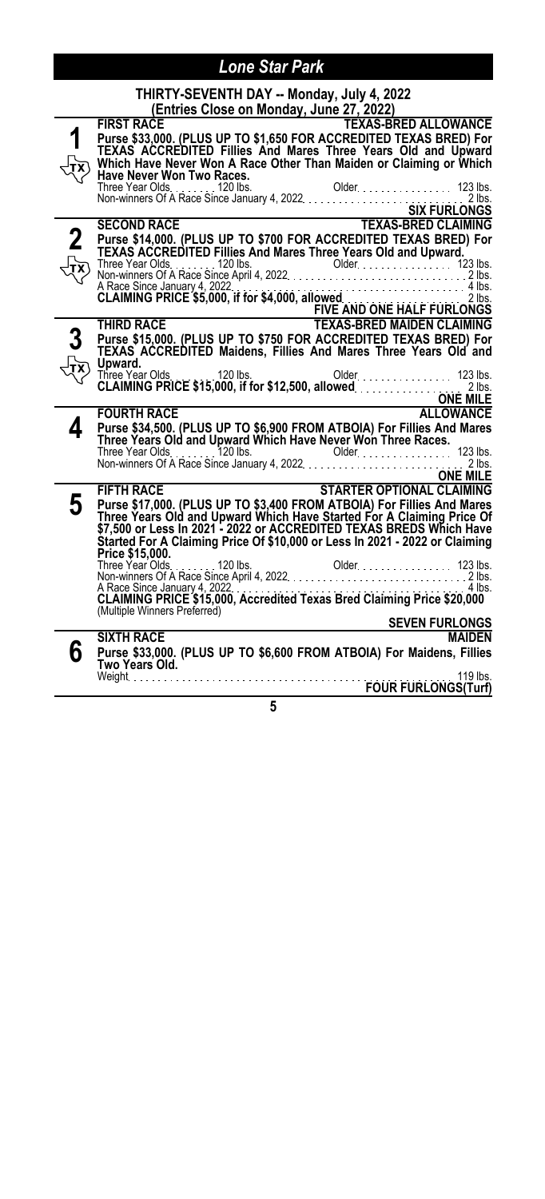|   | THIRTY-SEVENTH DAY -- Monday, July 4, 2022                                                                                                                                                                                                                    |
|---|---------------------------------------------------------------------------------------------------------------------------------------------------------------------------------------------------------------------------------------------------------------|
|   | (Entries Close on Monday, June 27, 2022)                                                                                                                                                                                                                      |
|   | <b>FIRST RACE</b><br><b>TEXAS-BRED ALLOWANCE</b><br>Purse \$33,000. (PLUS UP TO \$1,650 FOR ACCREDITED TEXAS BRED) For<br>TEXAS ACCREDITED Fillies And Mares Three Years Old and Upward<br>Which Have Never Won A Race Other Than Maiden or Claiming or Which |
|   | Have Never Won Two Races.                                                                                                                                                                                                                                     |
|   |                                                                                                                                                                                                                                                               |
|   |                                                                                                                                                                                                                                                               |
|   | Purse \$14,000. (PLUS UP TO \$700 FOR ACCREDITED TEXAS BRED) For<br>TEXAS ACCREDITED Fillies And Mares Three Years Old and Upward.                                                                                                                            |
|   |                                                                                                                                                                                                                                                               |
|   |                                                                                                                                                                                                                                                               |
|   |                                                                                                                                                                                                                                                               |
|   | Purse \$15,000. (PLUS UP TO \$750 FOR ACCREDITED TEXAS BRED) For<br>TEXAS ACCREDITED Maidens, Fillies And Mares Three Years Old and                                                                                                                           |
|   | Upward.                                                                                                                                                                                                                                                       |
|   |                                                                                                                                                                                                                                                               |
|   | ONE MILE                                                                                                                                                                                                                                                      |
|   | <b>FOURTH RACE</b>                                                                                                                                                                                                                                            |
| 4 | Purse \$34,500. (PLUS UP TO \$6,900 FROM ATBOIA) For Fillies And Mares<br>Three Years Old and Upward Which Have Never Won Three Races.                                                                                                                        |
|   |                                                                                                                                                                                                                                                               |
|   | ONE MILE                                                                                                                                                                                                                                                      |
|   | STARTER OPTIONAL CLAIMING<br><b>FIFTH RACE</b>                                                                                                                                                                                                                |
| 5 | Purse \$17,000. (PLUS UP TO \$3,400 FROM ATBOIA) For Fillies And Mares                                                                                                                                                                                        |
|   | Three Years Old and Upward Which Have Started For A Claiming Price Of<br>\$7,500 or Less In 2021 - 2022 or ACCREDITED TEXAS BREDS Which Have                                                                                                                  |
|   | Started For A Claiming Price Of \$10,000 or Less In 2021 - 2022 or Claiming                                                                                                                                                                                   |
|   | Price \$15,000.                                                                                                                                                                                                                                               |
|   |                                                                                                                                                                                                                                                               |
|   |                                                                                                                                                                                                                                                               |
|   |                                                                                                                                                                                                                                                               |
|   | (Multiple Winners Preferred)                                                                                                                                                                                                                                  |
|   | <b>SEVEN FURLONGS</b><br><b>SIXTH RACE</b><br><b>MAIDEN</b>                                                                                                                                                                                                   |
| h | Purse \$33,000. (PLUS UP TO \$6,600 FROM ATBOIA) For Maidens, Fillies<br>Purse المعروبية و Two Years Old.<br>Two Years Old. [19   119   119   119   119   119   119   119   119   119   119<br>Meight                                                         |
|   |                                                                                                                                                                                                                                                               |
|   |                                                                                                                                                                                                                                                               |
|   | 5                                                                                                                                                                                                                                                             |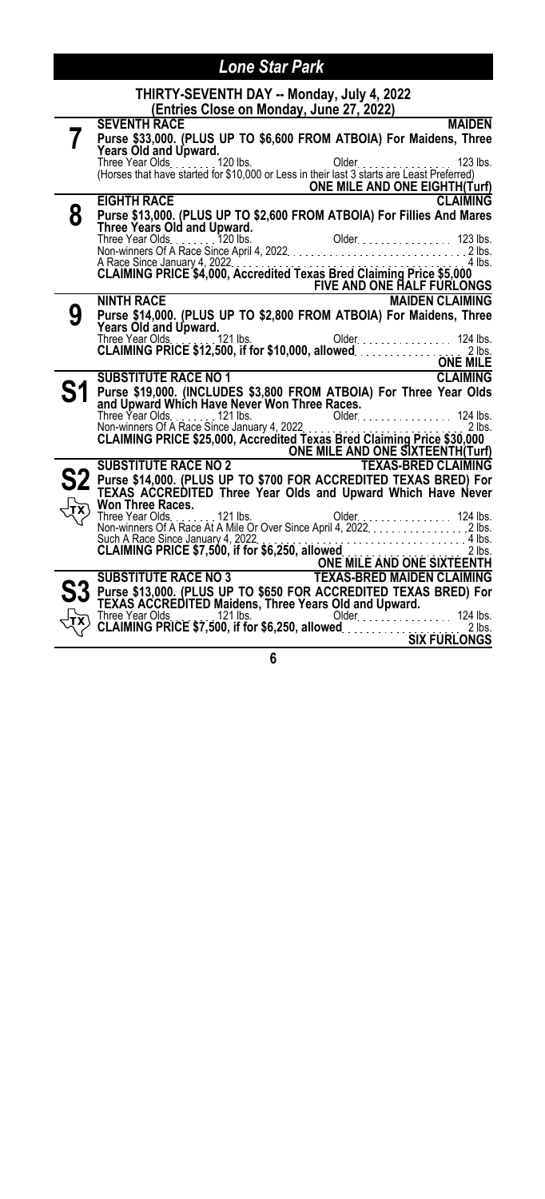|   | THIRTY-SEVENTH DAY -- Monday, July 4, 2022                                                                                                                                                                                            |
|---|---------------------------------------------------------------------------------------------------------------------------------------------------------------------------------------------------------------------------------------|
|   | (Entries Close on Monday, June 27, 2022)                                                                                                                                                                                              |
|   | <b>SEVENTH RACE</b><br><b>MAIDEN</b>                                                                                                                                                                                                  |
|   | Purse \$33,000. (PLUS UP TO \$6,600 FROM ATBOIA) For Maidens, Three                                                                                                                                                                   |
|   | Years Old and Upward.                                                                                                                                                                                                                 |
|   | (Horses that have started for \$10,000 or Less in their last 3 starts are Least Preferred)                                                                                                                                            |
|   | ONE MILE AND ONE EIGHTH(Turf)                                                                                                                                                                                                         |
|   | <b>CLAIMING</b><br><b>EIGHTH RACE</b>                                                                                                                                                                                                 |
| 8 | Purse \$13,000. (PLUS UP TO \$2,600 FROM ATBOIA) For Fillies And Mares                                                                                                                                                                |
|   | Three Years Old and Upward.                                                                                                                                                                                                           |
|   |                                                                                                                                                                                                                                       |
|   |                                                                                                                                                                                                                                       |
|   |                                                                                                                                                                                                                                       |
|   |                                                                                                                                                                                                                                       |
|   | <b>FIVE AND ONE HALF FURLONGS</b>                                                                                                                                                                                                     |
|   | <b>NINTH RACE</b><br><b>MAIDEN CLAIMING</b>                                                                                                                                                                                           |
| 9 | Purse \$14,000. (PLUS UP TO \$2,800 FROM ATBOIA) For Maidens, Three                                                                                                                                                                   |
|   | Years Old and Upward.<br>Older. 124 lbs.                                                                                                                                                                                              |
|   |                                                                                                                                                                                                                                       |
|   |                                                                                                                                                                                                                                       |
|   | ONE MILE<br><b>SUBSTITUTE RACE NO 1</b>                                                                                                                                                                                               |
|   |                                                                                                                                                                                                                                       |
|   | Purse \$19,000. (INCLUDES \$3,800 FROM ATBOIA) For Three Year Olds<br>and Upward Which Have Never Won Three Races.                                                                                                                    |
|   |                                                                                                                                                                                                                                       |
|   |                                                                                                                                                                                                                                       |
|   |                                                                                                                                                                                                                                       |
|   | SUBSTITUTE RACE NO 2<br>SUBSTITUTE RACE NO 2<br>Pure Castle Control of the Castle Control of the Castle Castle Castle Castle Castle Castle Castle Castle Castle Castle Castle Castle Castle Castle Castle Castle Castle Castle Castl  |
|   |                                                                                                                                                                                                                                       |
|   | Purse \$14,000. (PLUS UP TO \$700 FOR ACCREDITED TEXAS BRED) For<br>TEXAS ACCREDITED Three Year Olds and Upward Which Have Never                                                                                                      |
|   | <b>Won Three Races.</b>                                                                                                                                                                                                               |
|   |                                                                                                                                                                                                                                       |
|   |                                                                                                                                                                                                                                       |
|   |                                                                                                                                                                                                                                       |
|   |                                                                                                                                                                                                                                       |
|   |                                                                                                                                                                                                                                       |
|   | Such A Race Since January 4, 2022<br>CLAIMING PRICE \$7,500, if for \$6,250, allowed.<br>ONE MILE AND ONE SIXTEENTH<br>SUBSTITUTE RACE NO 3                                                                                           |
|   |                                                                                                                                                                                                                                       |
|   |                                                                                                                                                                                                                                       |
|   |                                                                                                                                                                                                                                       |
|   | Purse \$13,000. (PLUS UP TO \$650 FOR ACCREDITED TEXAS BRED) For<br>TEXAS ACCREDITED Maidens, Three Years Old and Upward.<br>Three Year Olds. 124 lbs. (21 lbs. 124 lbs. 21 lbs. 21 lbs. 21 lbs. 21 lbs. 21 lbs. 21 lbs. 2500, if for |
|   |                                                                                                                                                                                                                                       |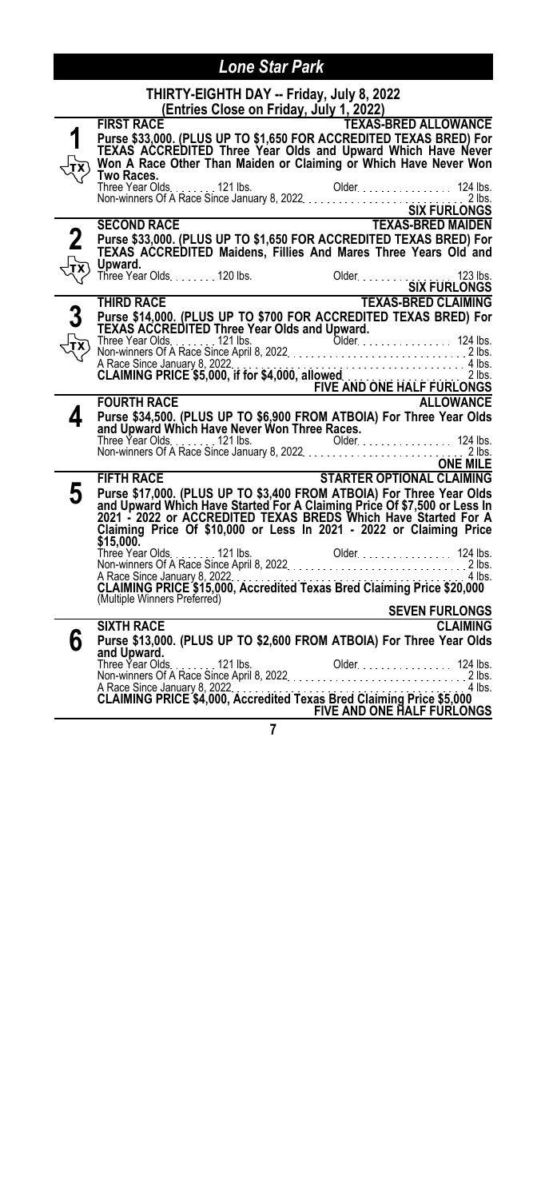|                | THIRTY-EIGHTH DAY -- Friday, July 8, 2022                                                                                                  |
|----------------|--------------------------------------------------------------------------------------------------------------------------------------------|
|                | (Entries Close on Friday, July 1, 2022)<br><b>TEXAS-BRED ALLOWANCE</b><br><b>FIRST RACE</b>                                                |
| 1              | FIRST RACE<br>Purse \$33,00 <u>0. (PLUS UP</u> TO \$1,650 FOR ACCREDITED TEXAS BRED) For                                                   |
|                | TEXAS ACCREDITED Three Year Olds and Upward Which Have Never                                                                               |
|                | Won A Race Other Than Maiden or Claiming or Which Have Never Won<br>Two Races.                                                             |
|                |                                                                                                                                            |
|                |                                                                                                                                            |
|                | Three Year Olds<br>Non-winners Of A Race Since January 8, 2022<br>SIX FURLONGS<br>SECOND RACE<br>TEXAS-BRED MAIDEN<br><b>SECOND RACE</b>   |
| $\mathbf 2$    | Purse \$33,000. (PLUS UP TO \$1,650 FOR ACCREDITED TEXAS BRED) For                                                                         |
|                | TEXAS ACCREDITED Maidens, Fillies And Mares Three Years Old' and                                                                           |
|                | Upward.<br>opwaru.<br>Three Year Olds. 120 lbs.<br>SIX FURLONGS<br>Older SIX FURLONGS<br>TEXAS-BRED CLAIMING                               |
|                |                                                                                                                                            |
|                | THIRD RACE                                                                                                                                 |
| $\overline{3}$ | Purse \$14,000. (PLUS UP TO \$700 FOR ACCREDITED TEXAS BRED) For<br>TEXAS ACCREDITED Three Year Olds and Upward.                           |
|                | Three Year Olds. 121 lbs.                                                                                                                  |
|                |                                                                                                                                            |
|                |                                                                                                                                            |
|                | A Race Since January 8, 2022<br>CLAIMING PRICE \$5,000, if for \$4,000, allowed<br>FIVE AND ONE HALF FURLONGS<br>FOURTH RACE<br>ALLOWANCE  |
| 4              | Purse \$34,500. (PLUS UP TO \$6,900 FROM ATBOIA) For Three Year Olds                                                                       |
|                | and Upward Which Have Never Won Three Races.                                                                                               |
|                | Three Year Olds<br>Non-winners Of A Race Since January 8, 2022<br>2 lbs.                                                                   |
|                |                                                                                                                                            |
|                | <u>ONE MILE</u><br>STARTER OPTIONAL CLAIMING<br><b>FIFTH RACE</b>                                                                          |
| 5              | Purse \$17,000. (PLUS UP TO \$3,400 FROM ATBOIA) For Three Year Olds                                                                       |
|                | and Upward Which Have Started For A Claiming Price Of \$7,500 or Less In<br>2021 - 2022 or ACCREDITED TEXAS BREDS Which Have Started For A |
|                | Claiming Price Of \$10,000 or Less In 2021 - 2022 or Claiming Price                                                                        |
|                | \$15,000.                                                                                                                                  |
|                |                                                                                                                                            |
|                | A Race Since January 8, 2022. The Street Hexas Bred Claiming Price \$20,000                                                                |
|                | (Multiple Winners Preferred)                                                                                                               |
|                | <b>SEVEN FURLONGS</b><br><b>SIXTH RACE</b><br><b>CLAIMING</b>                                                                              |
| 6              | Purse \$13,000. (PLUS UP TO \$2,600 FROM ATBOIA) For Three Year Olds                                                                       |
|                | and Upward.                                                                                                                                |
|                |                                                                                                                                            |
|                |                                                                                                                                            |
|                | <b>FIVE AND ONE HALF FURLONGS</b>                                                                                                          |
|                |                                                                                                                                            |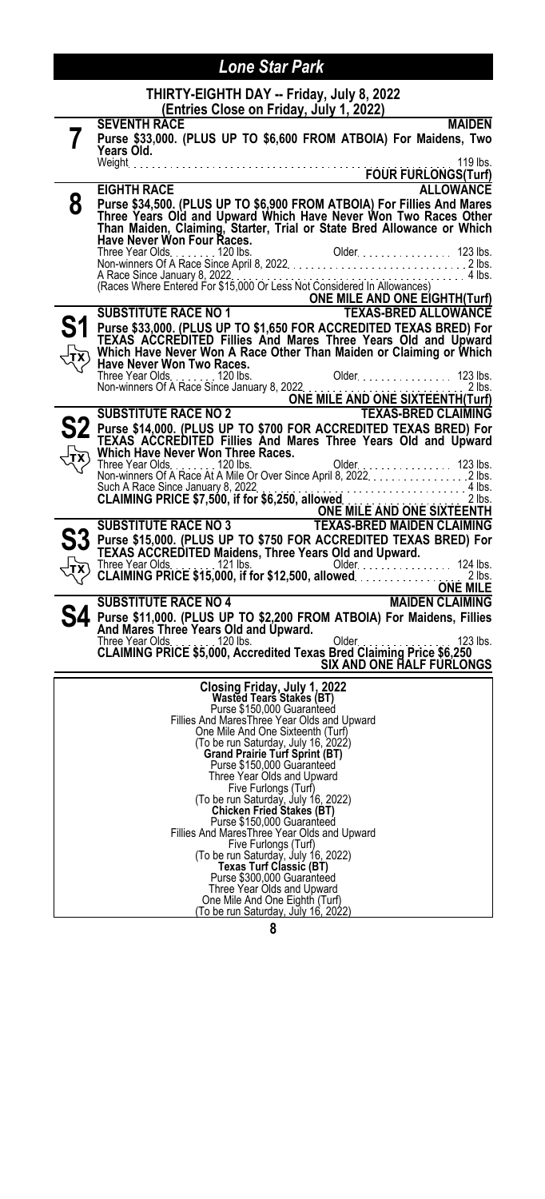|   | THIRTY-EIGHTH DAY -- Friday, July 8, 2022<br>(Entries Close on Friday, July 1, 2022)                                                                                                                                |                               |                  |
|---|---------------------------------------------------------------------------------------------------------------------------------------------------------------------------------------------------------------------|-------------------------------|------------------|
| 7 | <b>SEVENTH RACE</b><br>Purse \$33,000. (PLUS UP TO \$6,600 FROM ATBOIA) For Maidens, Two<br>Years Old.                                                                                                              |                               | <b>MAIDEN</b>    |
|   |                                                                                                                                                                                                                     | FOUR FURLONGS (Turf)          | 119 lbs.         |
|   | <b>EIGHTH RACE</b>                                                                                                                                                                                                  |                               | <b>ALLOWANCE</b> |
| 8 | Purse \$34,500. (PLUS UP TO \$6,900 FROM ATBOIA) For Fillies And Mares<br>Three Years Old and Upward Which Have Never Won Two Races Other<br>Than Maiden, Claiming, Starter, Trial or State Bred Allowance or Which |                               |                  |
|   |                                                                                                                                                                                                                     |                               |                  |
|   | A Race Since January 8, 2022. The Research Considered In Allowances) 4 Ibs.<br>(Races Where Entered For \$15,000 Or Less Not Considered In Allowances)                                                              | ONE MILE AND ONE EIGHTH(Turf) |                  |
|   | <b>SUBSTITUTE RACE NO 1</b>                                                                                                                                                                                         | <b>TEXAS-BRED ALLOWANCE</b>   |                  |
|   | Purse \$33,000. (PLUS UP TO \$1,650 FOR ACCREDITED TEXAS BRED) For<br>TEXAS  ACCREDITED  Fillies  And  Mares  Three  Years  Old  and  Upward<br>Which Have Never Won A Race Other Than Maiden or Claiming or Which  |                               |                  |
|   | Have Never Won Two Races.<br>Three Year Olds<br>Three Year Olds<br>Non-winners Of A Race Since January 8, 2022<br>SUBSTITUTE RACE NO 2<br>SUBSTITUTE RACE NO 2<br>TEXAS-BRED CLAIMING                               |                               |                  |
|   |                                                                                                                                                                                                                     |                               |                  |
|   |                                                                                                                                                                                                                     |                               |                  |
|   | S2 Purse \$14,000. (PLUS UP TO \$700 FOR ACCREDITED TEXAS BRED) For<br>TEXAS ACCREDITED Fillies And Mares Three Years Old and Upward                                                                                |                               |                  |
|   |                                                                                                                                                                                                                     |                               |                  |
|   | Such A Race Since January 8, 2022<br>CLAIMING PRICE \$7,500, if for \$6,250, allowed<br>ONE MILE AND ONE SIXTEENTH<br>SUBSTITUTE RACE NO 3<br>TEXAS-BRED MAIDEN CLAIMING                                            |                               |                  |
|   |                                                                                                                                                                                                                     |                               |                  |
|   |                                                                                                                                                                                                                     |                               |                  |
|   |                                                                                                                                                                                                                     |                               |                  |
|   |                                                                                                                                                                                                                     |                               |                  |
|   | <b>SUBSTITUTE RACE NO 4</b>                                                                                                                                                                                         | MAIDEN CLAIMING               |                  |
|   | 4. Purse \$11,000. (PLUS UP TO \$2,200 FROM ATBOIA) For Maidens, Fillies                                                                                                                                            |                               |                  |
|   | And Mares Three Years Old and Upward.                                                                                                                                                                               |                               | 123 lbs.         |
|   | Three Year Olds<br><b>CLAIMING PRICE \$5,000, Accredited Texas Bred Claiming Price \$6,250</b>                                                                                                                      | SIX AND ONE HALF FURLONGS     |                  |
|   |                                                                                                                                                                                                                     |                               |                  |
|   | Closing Friday, July 1, 2022<br>Wasted Tears Stakes (BT)                                                                                                                                                            |                               |                  |
|   | Purse \$150,000 Guaranteed<br>Fillies And Mares Three Year Olds and Upward                                                                                                                                          |                               |                  |
|   | One Mile And One Sixteenth (Turf)                                                                                                                                                                                   |                               |                  |
|   | (To be run Saturday, July 16, 2022)<br><b>Grand Prairie Turf Sprint (BT)</b>                                                                                                                                        |                               |                  |
|   | Purse \$150,000 Guaranteed                                                                                                                                                                                          |                               |                  |
|   | Three Year Olds and Upward                                                                                                                                                                                          |                               |                  |
|   | Five Furlongs (Turf)<br>To be run Saturday, July 16, 2022)                                                                                                                                                          |                               |                  |
|   | <b>Chicken Fried Stakes (BT)</b><br>Purse \$150,000 Guaranteed                                                                                                                                                      |                               |                  |
|   | Fillies And MaresThree Year Olds and Upward<br>Five Furlongs (Turf)                                                                                                                                                 |                               |                  |
|   | (To be run Saturday, July 16, 2022)                                                                                                                                                                                 |                               |                  |
|   | <b>Texas Turf Classic (BT)</b><br>Purse \$300,000 Guaranteed                                                                                                                                                        |                               |                  |
|   | Three Year Olds and Upward                                                                                                                                                                                          |                               |                  |
|   | One Mile And One Eighth (Turf)<br>(To be run Saturday, July 16, 2022)                                                                                                                                               |                               |                  |
|   | $\bullet$                                                                                                                                                                                                           |                               |                  |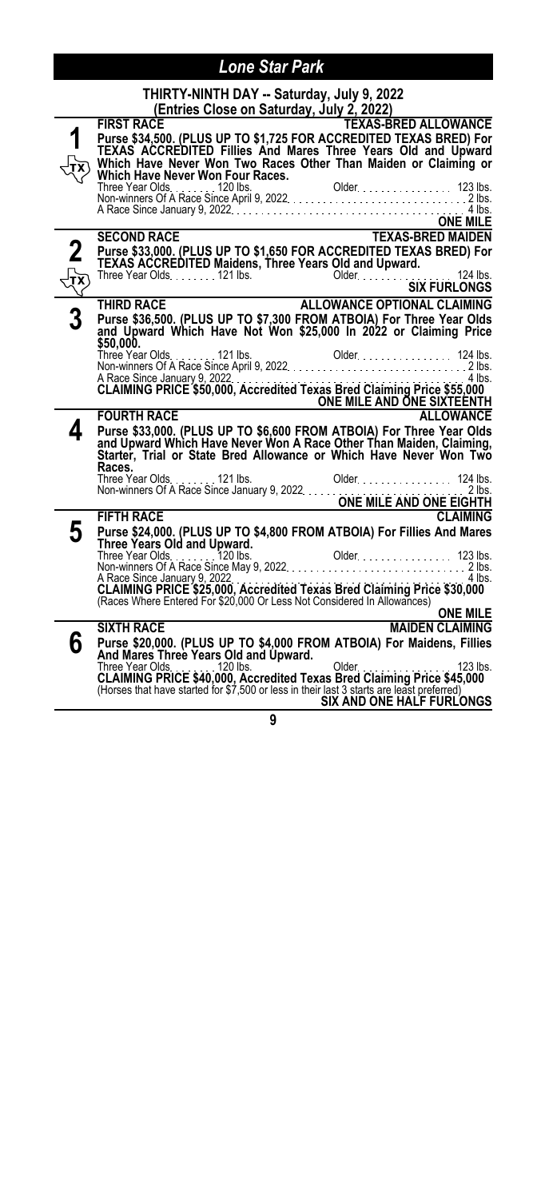|                      | THIRTY-NINTH DAY -- Saturday, July 9, 2022                         |                                                                                                                                                                                                        |
|----------------------|--------------------------------------------------------------------|--------------------------------------------------------------------------------------------------------------------------------------------------------------------------------------------------------|
|                      | (Entries Close on Saturday, July 2, 2022)                          |                                                                                                                                                                                                        |
|                      | <b>FIRST RACE</b>                                                  | <b>TEXAS-BRED ALLOWANCE</b>                                                                                                                                                                            |
| 1                    |                                                                    | Purse \$34,500. (PLUS UP TO \$1,725 FOR ACCREDITED TEXAS BRED) For<br>TEXAS ACCREDITED Fillies And Mares Three Years Old and Upward<br>Which Have Never Won Two Races Other Than Maiden or Claiming or |
|                      |                                                                    |                                                                                                                                                                                                        |
|                      |                                                                    |                                                                                                                                                                                                        |
|                      |                                                                    |                                                                                                                                                                                                        |
|                      |                                                                    |                                                                                                                                                                                                        |
|                      |                                                                    | ONE MILE<br>ONE MILE<br>TEXAS-BRED MAIDEN                                                                                                                                                              |
|                      | <b>SECOND RACE</b>                                                 |                                                                                                                                                                                                        |
| $\boldsymbol{2}$     | <b>TEXAS ACCREDITED Maidens, Three Years Old and Upward.</b>       | Purse \$33,000. (PLUS UP TO \$1,650 FOR ACCREDITED TEXAS BRED) For                                                                                                                                     |
|                      |                                                                    |                                                                                                                                                                                                        |
| $\frac{1}{\sqrt{2}}$ |                                                                    |                                                                                                                                                                                                        |
|                      |                                                                    |                                                                                                                                                                                                        |
| 3                    |                                                                    | Purse \$36,500. (PLUS UP TO \$7,300 FROM ATBOIA) For Three Year Olds<br>and Upward Which Have Not Won \$25,000 In 2022 or Claiming Price                                                               |
|                      | \$50,000.                                                          |                                                                                                                                                                                                        |
|                      | Three Year Olds. 121 lbs.                                          |                                                                                                                                                                                                        |
|                      |                                                                    | Three Year Olds<br>Mon-winners Of A Race Since April 9, 2022<br>Mon-winners Of A Race Since April 9, 2022                                                                                              |
|                      |                                                                    | A Race Since January 9, 2022. The Street Hexas Bred Claiming Price \$55,000                                                                                                                            |
|                      |                                                                    |                                                                                                                                                                                                        |
|                      |                                                                    | FOURTH RACE <b>EXAMPLE AND ONE SIXTEENTH</b><br>FOURTH RACE                                                                                                                                            |
| 4                    |                                                                    | Purse \$33,000. (PLUS UP TO \$6,600 FROM ATBOIA) For Three Year Olds                                                                                                                                   |
|                      |                                                                    | and Upward Which Have Never Won A Race Other Than Maiden, Claiming, Starter, Trial or State Bred Allowance or Which Have Never Won Two                                                                 |
|                      | Races.                                                             |                                                                                                                                                                                                        |
|                      |                                                                    |                                                                                                                                                                                                        |
|                      |                                                                    |                                                                                                                                                                                                        |
|                      | <b>FIFTH RACE</b>                                                  | <b>CLAIMING</b>                                                                                                                                                                                        |
| 5                    |                                                                    | Purse \$24,000. (PLUS UP TO \$4,800 FROM ATBOIA) For Fillies And Mares                                                                                                                                 |
|                      | Three Years Old and Upward.                                        |                                                                                                                                                                                                        |
|                      |                                                                    |                                                                                                                                                                                                        |
|                      |                                                                    |                                                                                                                                                                                                        |
|                      |                                                                    | A Race Since January 9, 2022<br>CLAIMING PRICE \$25,000, Accredited Texas Bred Claiming Price \$30,000<br>(Races Where Entered For \$20,000 Or Less Not Considered In Allowances)                      |
|                      |                                                                    | <b>ONE MILE</b>                                                                                                                                                                                        |
|                      | <b>SIXTH RACE</b>                                                  | <b>MAIDEN CLAIMING</b>                                                                                                                                                                                 |
| 6                    |                                                                    | Purse \$20,000. (PLUS UP TO \$4,000 FROM ATBOIA) For Maidens, Fillies                                                                                                                                  |
|                      | And Mares Three Years Old and Upward.<br>Three Year Olds. 120 lbs. |                                                                                                                                                                                                        |
|                      |                                                                    | $Older.$<br>$\sim$ 123 lbs.                                                                                                                                                                            |
|                      |                                                                    | CLAIMING PRICE \$40,000, Accredited Texas Bred Claiming Price \$45,000 (Horses that have started for \$7,500 or less in their last 3 starts are least preferred)                                       |
|                      |                                                                    | SIX AND ONE HALF FURLONGS                                                                                                                                                                              |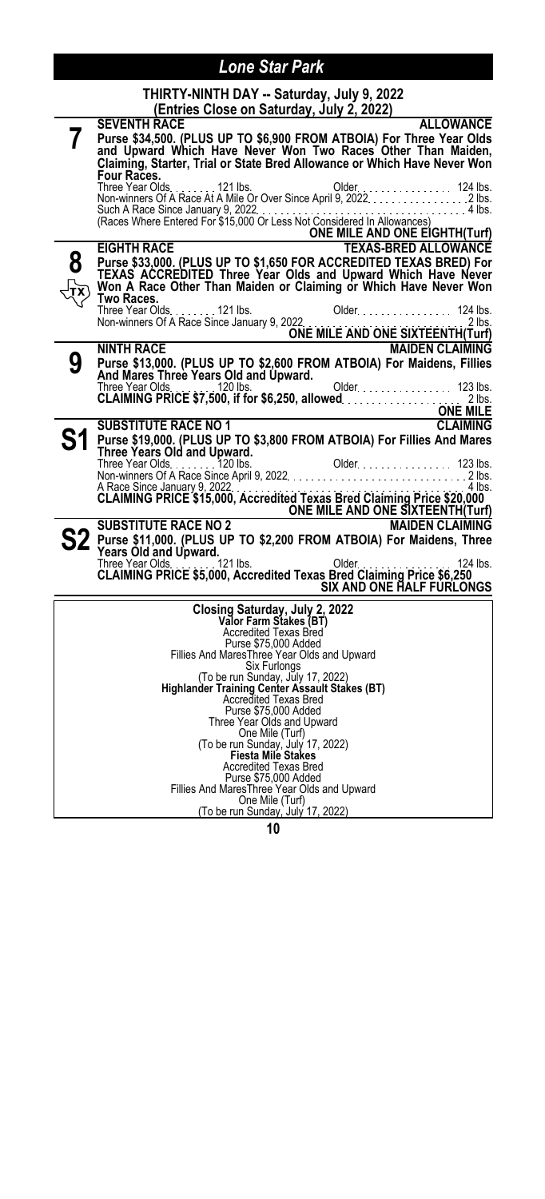| THIRTY-NINTH DAY -- Saturday, July 9, 2022 |  |
|--------------------------------------------|--|
| (Entries Close on Saturday, July 2, 2022)  |  |

|   | <u>(Entries Close on Saturday, July 2, 2022)</u>                                                                                                                  |
|---|-------------------------------------------------------------------------------------------------------------------------------------------------------------------|
|   | <b>ALLOWANCE</b><br><b>SEVENTH RACE</b>                                                                                                                           |
|   | Purse \$34,500. (PLUS UP TO \$6,900 FROM ATBOIA) For Three Year Olds<br>and Upward Which Have Never Won Two Races Other Than Maiden,                              |
|   |                                                                                                                                                                   |
|   | Claiming, Starter, Trial or State Bred Allowance or Which Have Never Won                                                                                          |
|   | Four Races.                                                                                                                                                       |
|   |                                                                                                                                                                   |
|   |                                                                                                                                                                   |
|   | Such A Race Since January 9, 2022<br>(Races Where Entered For \$15,000 Or Less Not Considered In Allowances)                                                      |
|   | ONE MILE AND ONE EIGHTH(Turf)                                                                                                                                     |
|   | <b>TEXAS-BRED ALLOWANCE</b><br><b>EIGHTH RACE</b>                                                                                                                 |
| 8 | Purse \$33,000. (PLUS UP TO \$1,650 FOR ACCREDITED TEXAS BRED) For<br>TEXAS ACCREDITED Three Year Olds and Upward Which Have Never                                |
|   |                                                                                                                                                                   |
|   | Won A Race Other Than Maiden or Claiming or Which Have Never Won                                                                                                  |
|   | Two Races.                                                                                                                                                        |
|   | Three Year Olds. 121 lbs.<br>Older 124 lbs.                                                                                                                       |
|   | Three Year Olds. The Carry of Allen Construction of Allen Carry 9, 2022<br>Non-winners Of A Race Since January 9, 2022<br><b>ONE MILE AND ONE SIXTEENTH(Turf)</b> |
|   | <b>NINTH RACE</b><br><b>MAIDEN CLAIMING</b>                                                                                                                       |
| 9 | Purse \$13,000. (PLUS UP TO \$2,600 FROM ATBOIA) For Maidens, Fillies                                                                                             |
|   | And Mares Three Years Old and Upward.                                                                                                                             |
|   |                                                                                                                                                                   |
|   |                                                                                                                                                                   |
|   | <u> 1989 - Johann Barn, mars an t-Amerikaansk kommunister (</u>                                                                                                   |
|   | <b>CLAIMING</b><br><b>SUBSTITUTE RACE NO 1</b>                                                                                                                    |
|   | Purse \$19,000. (PLUS UP TO \$3,800 FROM ATBOIA) For Fillies And Mares                                                                                            |
|   | Three Years Old and Upward.                                                                                                                                       |
|   |                                                                                                                                                                   |
|   | $.4$ lbs.                                                                                                                                                         |
|   | A Race Since January 9, 2022<br>A Race Since January 9, 2022<br>CLAIMING PRICE \$15,000, Accredited Texas Bred Claiming Price \$20,000                            |
|   | ONE MILE AND ONE SIXTEENTH(Turf)                                                                                                                                  |
|   | <b>SUBSTITUTE RACE NO 2</b><br><b>MAIDEN CLAIMING</b>                                                                                                             |
|   | S2 Purse \$11,000. (PLUS UP TO \$2,200 FROM ATBOIA) For Maidens, Three                                                                                            |
|   | Years Old and Upward.                                                                                                                                             |
|   | 124<br>Three Year Olds. Three Year Olds. CLAIMING PRICE \$5,000, Accredited Texas Bred Claiming Price \$6,250<br>124 lbs.                                         |
|   |                                                                                                                                                                   |
|   | <b>SIX AND ONE HALF FURLONGS</b>                                                                                                                                  |
|   | Closing Saturday, July 2, 2022                                                                                                                                    |
|   | <b>Valor Farm Stakes (BT)</b><br>Accredited Texas Bred                                                                                                            |
|   |                                                                                                                                                                   |
|   | Purse \$75,000 Added                                                                                                                                              |
|   | Fillies And MaresThree Year Olds and Upward<br>Six Furlongs                                                                                                       |
|   | (To be run Sunday, July 17, 2022)                                                                                                                                 |
|   | Highlander Training Center Assault Stakes (BT)                                                                                                                    |
|   | Accredited Texas Bred                                                                                                                                             |
|   | Purse \$75,000 Added<br>Three Year Olds and Upward                                                                                                                |
|   | One Mile (Turf)                                                                                                                                                   |
|   | (To be run Sunday, July 17, 2022)                                                                                                                                 |
|   | <b>Fiesta Mile Stakes</b>                                                                                                                                         |
|   | <b>Accredited Texas Bred</b>                                                                                                                                      |
|   | Purse \$75,000 Added<br>Fillies And MaresThree Year Olds and Upward                                                                                               |
|   | One Mile (Turf)                                                                                                                                                   |
|   | (To be run Sunday, July 17, 2022)                                                                                                                                 |
|   |                                                                                                                                                                   |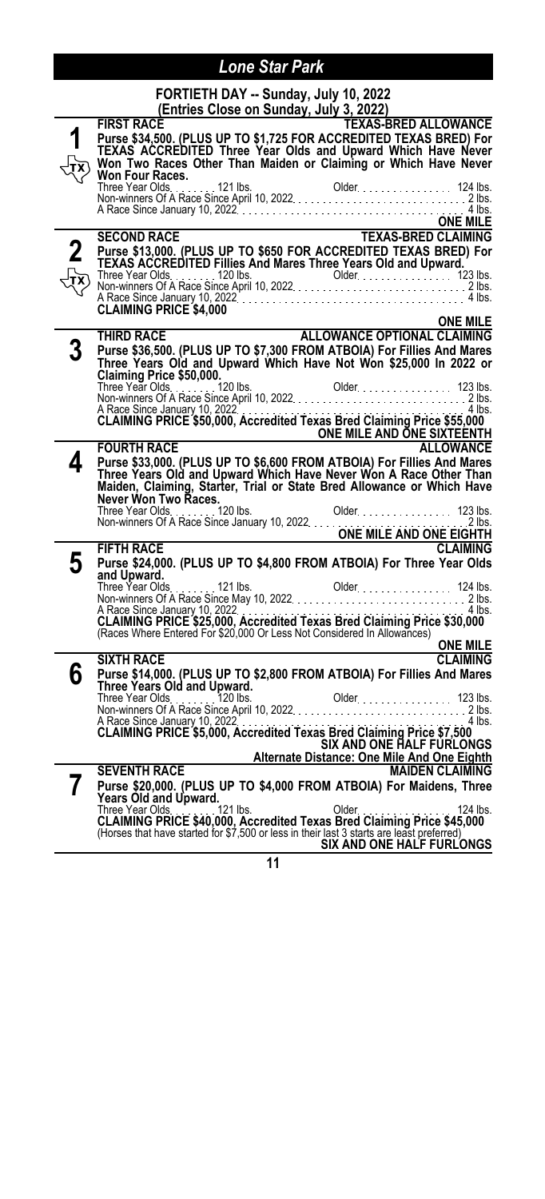**FORTIETH DAY -- Sunday, July 10, 2022**

|   | (Entries Close on Sunday, July 3, 2022)                                                                                                                                                                                                                                      |
|---|------------------------------------------------------------------------------------------------------------------------------------------------------------------------------------------------------------------------------------------------------------------------------|
|   | <b>TEXAS-BRED ALLOWANCE</b><br><b>FIRST RACE</b><br>Purse \$34,500. (PLUS UP TO \$1,725 FOR ACCREDITED TEXAS BRED) For<br>TEXAS ACCREDITED Three Year Olds and Upward Which Have Never<br>Won Two Races Other Than Maiden or Claiming or Which Have Never<br>Won Four Races. |
|   | ONE MILE<br>TEXAS-BRED CLAIMING                                                                                                                                                                                                                                              |
|   | <b>SECOND RACE</b>                                                                                                                                                                                                                                                           |
|   | Purse \$13,000. (PLUS UP TO \$650 FOR ACCREDITED TEXAS BRED) For<br>TEXAS ACCREDITED Fillies And Mares Three Years Old and Upward.                                                                                                                                           |
|   |                                                                                                                                                                                                                                                                              |
|   |                                                                                                                                                                                                                                                                              |
|   |                                                                                                                                                                                                                                                                              |
|   | ALLOWANCE OPTIONAL CLAIMING<br>THIRD RACE                                                                                                                                                                                                                                    |
|   |                                                                                                                                                                                                                                                                              |
|   | Purse \$36,500. (PLUS UP TO \$7,300 FROM ATBOIA) For Fillies And Mares<br>Three Years Old and Upward Which Have Not Won \$25,000 In 2022 or                                                                                                                                  |
|   | Claiming Price \$50,000.                                                                                                                                                                                                                                                     |
|   |                                                                                                                                                                                                                                                                              |
|   |                                                                                                                                                                                                                                                                              |
|   |                                                                                                                                                                                                                                                                              |
|   | TOURTH RACE CONTROL CONTROL CONTROL CONTROL CONTROL CONTROL CONTROL CONTROL CONTROL CONTROL CONTROL CONTROL CON<br>TOURTH RACE CONTROL CONTROL CONTROL CONTROL CONTROL CONTROL CONTROL CONTROL CONTROL CONTROL CONTROL CONTROL CO                                            |
| 4 |                                                                                                                                                                                                                                                                              |
|   | Purse \$33,000. (PLUS UP TO \$6,600 FROM ATBOIA) For Fillies And Mares<br>Three Years Old and Upward Which Have Never Won A Race Other Than                                                                                                                                  |
|   | Maiden, Claiming, Starter, Trial or State Bred Allowance or Which Have                                                                                                                                                                                                       |
|   |                                                                                                                                                                                                                                                                              |
|   |                                                                                                                                                                                                                                                                              |
|   |                                                                                                                                                                                                                                                                              |
|   | <b>CLAIMING</b>                                                                                                                                                                                                                                                              |
| 5 | Purse \$24,000. (PLUS UP TO \$4,800 FROM ATBOIA) For Three Year Olds<br>and Upward.                                                                                                                                                                                          |
|   |                                                                                                                                                                                                                                                                              |
|   |                                                                                                                                                                                                                                                                              |
|   |                                                                                                                                                                                                                                                                              |
|   | (Races Where Entered For \$20,000 Or Less Not Considered In Allowances)                                                                                                                                                                                                      |
|   | <b>ONE MILE</b><br><u> 1989 - Johann Barbara, martxa alemaniar a</u>                                                                                                                                                                                                         |
|   | <b>CLAIMING</b><br><b>SIXTH RACE</b>                                                                                                                                                                                                                                         |
| 6 | Purse \$14,000. (PLUS UP TO \$2,800 FROM ATBOIA) For Fillies And Mares                                                                                                                                                                                                       |
|   |                                                                                                                                                                                                                                                                              |
|   |                                                                                                                                                                                                                                                                              |
|   | A Race Since January 10, 2022<br>CLAIMING PRICE \$5,000, Accredited Texas Bred Claiming Price \$7,500<br>4 lbs                                                                                                                                                               |
|   | <b>SIX AND ONE HALF FURLONGS</b>                                                                                                                                                                                                                                             |
|   | Alternate Distance: One Mile And One Eighth                                                                                                                                                                                                                                  |
|   | <b>SEVENTH RACE</b><br><b>MAIDEN CLAIMING</b>                                                                                                                                                                                                                                |
|   | Purse \$20,000. (PLUS UP TO \$4,000 FROM ATBOIA) For Maidens, Three                                                                                                                                                                                                          |
|   |                                                                                                                                                                                                                                                                              |
|   | Years Old and Upward.<br>Three Year Olds. 124 lbs. Older 124 lbs. 124 lbs. 124 lbs. 124 lbs. 124 lbs. 124 lbs. 124 lbs. 124 lbs. 124 lbs. 124 lbs. 124 lbs. 124 lbs. 124 lbs. 124 lbs. 124 lbs. 124 lbs. 124 lbs. 124 lbs. 124 lb                                            |
|   |                                                                                                                                                                                                                                                                              |
|   | SIX AND ONE HALF FURLONGS                                                                                                                                                                                                                                                    |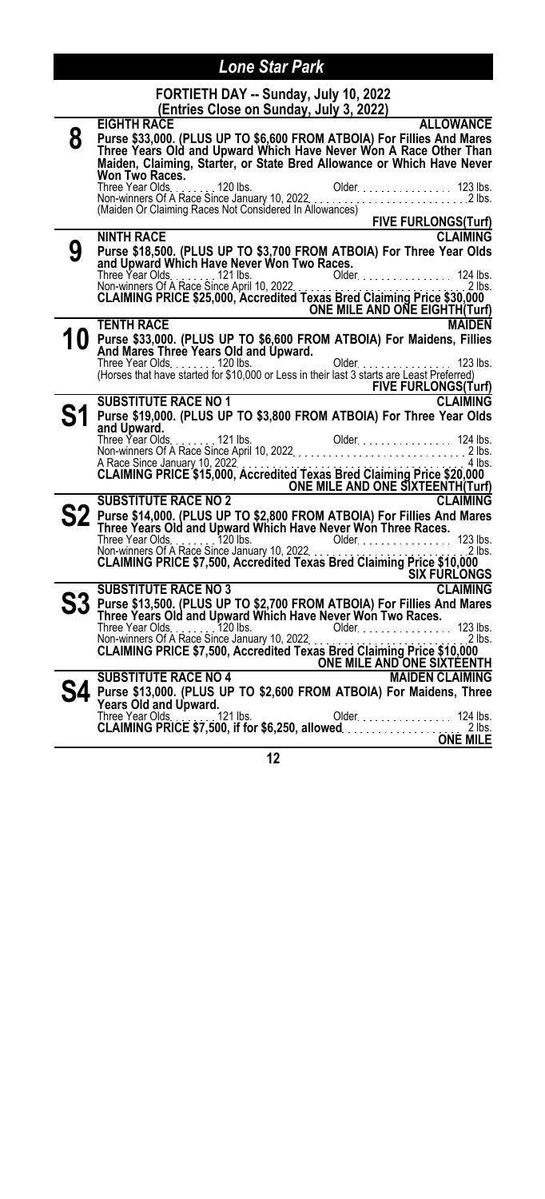| FORTIETH DAY -- Sunday, July 10, 2022   |  |  |
|-----------------------------------------|--|--|
| (Entries Close on Sunday, July 3, 2022) |  |  |

|   | (Entries Close on Sunday, July 3, 2022)                                                                                                                              |
|---|----------------------------------------------------------------------------------------------------------------------------------------------------------------------|
|   | <b>ALLOWANCE</b><br><b>EIGHTH RACE</b>                                                                                                                               |
| 8 | Purse \$33,000. (PLUS UP TO \$6,600 FROM ATBOIA) For Fillies And Mares<br>Three Years Old and Upward Which Have Never Won A Race Other Than                          |
|   | Maiden, Claiming, Starter, or State Bred Allowance or Which Have Never                                                                                               |
|   | Won Two Races.                                                                                                                                                       |
|   |                                                                                                                                                                      |
|   |                                                                                                                                                                      |
|   |                                                                                                                                                                      |
|   |                                                                                                                                                                      |
| 9 | Purse \$18,500. (PLUS UP TO \$3,700 FROM ATBOIA) For Three Year Olds<br>and Upward Which Have Never Won Two Races.                                                   |
|   |                                                                                                                                                                      |
|   | Three Year Olds.<br>Three Year Olds.<br>Non-winners Of A Race Since April 10, 2022.<br><b>CLAIMING PRICE \$25,000, Accredited Texas Bred Claiming Price \$30,000</b> |
|   |                                                                                                                                                                      |
|   | ONE MILE AND ONE EIGHTH(Turf)<br><b>TENTH RACE</b><br><b>MAIDEN</b>                                                                                                  |
|   | Purse \$33,000. (PLUS UP TO \$6,600 FROM ATBOIA) For Maidens, Fillies                                                                                                |
|   | And Mares Three Years Old and Upward.                                                                                                                                |
|   | Three Year Olds<br>(Horses that have started for \$10,000 or Less in their last 3 starts are Least Preferred)                                                        |
|   |                                                                                                                                                                      |
|   | SUBSTITUTE RACE NO 1<br>FIVE FURLONGS(Turf)                                                                                                                          |
|   | Purse \$19,000. (PLUS UP TO \$3,800 FROM ATBOIA) For Three Year Olds                                                                                                 |
|   | and Upward.                                                                                                                                                          |
|   |                                                                                                                                                                      |
|   |                                                                                                                                                                      |
|   |                                                                                                                                                                      |
|   | ONE MILE AND ONE SIXTEENTH(Turf)<br><b>SUBSTITUTE RACE NO 2</b><br><b>CLAIMING</b>                                                                                   |
|   | Purse \$14,000. (PLUS UP TO \$2,800 FROM ATBOIA) For Fillies And Mares                                                                                               |
|   | Three Years Old and Upward Which Have Never Won Three Races.                                                                                                         |
|   |                                                                                                                                                                      |
|   |                                                                                                                                                                      |
|   | <u>SIX FÚRLONGS</u>                                                                                                                                                  |
|   | <b>SUBSTITUTE RACE NO 3</b><br><b>CLAIMING</b>                                                                                                                       |
|   | Purse \$13,500. (PLUS UP TO \$2,700 FROM ATBOIA) For Fillies And Mares                                                                                               |
|   | Three Years Old and Upward Which Have Never Won Two Races.                                                                                                           |
|   | 2 lbs.                                                                                                                                                               |
|   |                                                                                                                                                                      |
|   |                                                                                                                                                                      |
|   |                                                                                                                                                                      |
|   | 4. Purse \$13,000. (PLUS UP TO \$2,600 FROM ATBOIA) For Maidens, Three<br>Years Old and Upward.                                                                      |
|   |                                                                                                                                                                      |
|   |                                                                                                                                                                      |
|   | <b>ONE MILE</b>                                                                                                                                                      |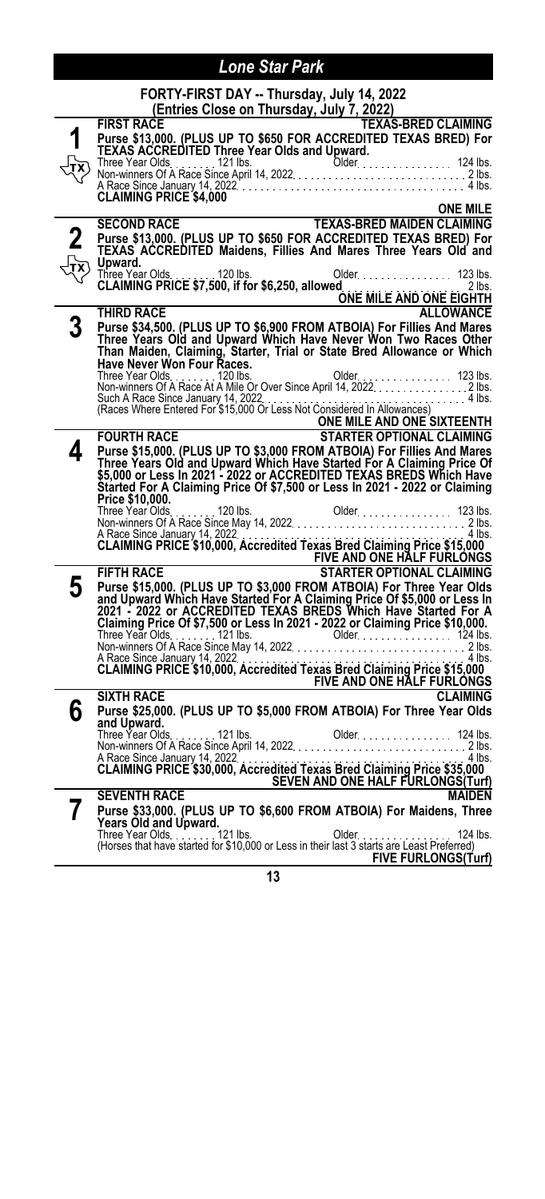|   | FORTY-FIRST DAY -- Thursday, July 14, 2022                                                                                                                                                                                                                                                    |
|---|-----------------------------------------------------------------------------------------------------------------------------------------------------------------------------------------------------------------------------------------------------------------------------------------------|
|   | (Entries Close on Thursday, July 7, 2022)                                                                                                                                                                                                                                                     |
|   | <b>FIRST RACE</b><br><b>TEXAS-BRED CLAIMING</b>                                                                                                                                                                                                                                               |
|   | Purse \$13,000. (PLUS UP TO \$650 FOR ACCREDITED TEXAS BRED) For<br><b>TEXAS ACCREDITED Three Year Olds and Upward.</b>                                                                                                                                                                       |
|   |                                                                                                                                                                                                                                                                                               |
|   | Three Year Olds.<br>Three Year Olds.<br>Non-winners Of A Race Since April 14, 2022.<br>A Race Since January 14, 2022.<br>2 lbs.<br><b>CLAIMING PRICE \$4,000</b>                                                                                                                              |
|   |                                                                                                                                                                                                                                                                                               |
|   |                                                                                                                                                                                                                                                                                               |
|   | <b>ONE MILE</b><br>TEXAS-BRED MAIDEN CLAIMING<br><b>SECOND RACE</b>                                                                                                                                                                                                                           |
|   |                                                                                                                                                                                                                                                                                               |
|   | Purse \$13,000. (PLUS UP TO \$650 FOR ACCREDITED TEXAS BRED) For<br>TEXAS ACCREDITED Maidens, Fillies And Mares Three Years Old and                                                                                                                                                           |
|   | Upward.                                                                                                                                                                                                                                                                                       |
|   | Three Year Olds. 120 lbs. 0lde<br>CLAIMING PRICE \$7,500, if for \$6,250, allowed<br>Older 123 lbs.                                                                                                                                                                                           |
|   |                                                                                                                                                                                                                                                                                               |
|   | lbs. משנים יו לא יידודי איז יידודי איז יידודי איז יידודי איז יידודי איז יידודי איז יידודי איז יידודי איז יידו<br>ONE MILE AND ONE EIGHTH<br><b>THIRD RACE</b>                                                                                                                                 |
| 3 | <b>ALLOWANCE</b>                                                                                                                                                                                                                                                                              |
|   |                                                                                                                                                                                                                                                                                               |
|   |                                                                                                                                                                                                                                                                                               |
|   | Purse \$34,500. (PLUS UP TO \$6,900 FROM ATBOIA) For Fillies And Mares<br>Three Years Old and Upward Which Have Never Won Two Races Other<br>Than Maiden, Claiming, Starter, Trial or State Bred Allowance or Which<br>Have Never Won Fou                                                     |
|   | Three Year Olds. 120 lbs. 0lder. 123 lbs.<br>Non-winners Of A Race At A Mile Or Over Since April 14, 2022. 2 lbs.                                                                                                                                                                             |
|   |                                                                                                                                                                                                                                                                                               |
|   | Such A Race Since January 14, 2022<br>(Races Where Entered For \$15,000 Or Less Not Considered In Allowances)                                                                                                                                                                                 |
|   | <b>ONE MILE AND ONE SIXTEENTH</b>                                                                                                                                                                                                                                                             |
|   | <b>STARTER OPTIONAL CLAIMING</b><br><b>FOURTH RACE</b>                                                                                                                                                                                                                                        |
| 4 | Purse \$15,000. (PLUS UP TO \$3,000 FROM ATBOIA) For Fillies And Mares<br>Three Years Old and Upward Which Have Started For A Claiming Price Of                                                                                                                                               |
|   |                                                                                                                                                                                                                                                                                               |
|   | \$5,000 or Less In 2021 - 2022 or ACCREDITED TEXAS BREDS Which Have<br>Started For A Claiming Price Of \$7,500 or Less In 2021 - 2022 or Claiming                                                                                                                                             |
|   | Price \$10,000.                                                                                                                                                                                                                                                                               |
|   |                                                                                                                                                                                                                                                                                               |
|   |                                                                                                                                                                                                                                                                                               |
|   |                                                                                                                                                                                                                                                                                               |
|   | Signal State State State State State State State State State State State State State State State State State S<br>FIFTH RACE STARTED OF THE STATE OF THE STATE OF THE STATE OF THE STATE OF THE STATE OF THE STATE OF THE STATE S                                                             |
|   |                                                                                                                                                                                                                                                                                               |
| 5 | Purse \$15,000. (PLUS UP TO \$3,000 FROM ATBOIA) For Three Year Olds<br>and Upward Which Have Started For A Claiming Price Of \$5,000 or Less In<br>2021 - 2022 or ACCREDITED TEXAS BREDS Which Have Started For A<br>Claiming Price Of \$7                                                   |
|   |                                                                                                                                                                                                                                                                                               |
|   |                                                                                                                                                                                                                                                                                               |
|   |                                                                                                                                                                                                                                                                                               |
|   |                                                                                                                                                                                                                                                                                               |
|   |                                                                                                                                                                                                                                                                                               |
|   |                                                                                                                                                                                                                                                                                               |
|   | The Year Olds<br>The Year Olds<br>Non-winners Of A Race Since May 14, 2022<br>A Race Since May 14, 2022<br>A Race Since January 14, 2022<br>CLAIMING PRICE \$10,000, Accredited Texas Bred Claiming Price \$15,000<br>FIVE AND ONE HALF FURLONGS<br>S<br><b>SIXTH RACE</b><br><b>CLAIMING</b> |
| 6 | Purse \$25,000. (PLUS UP TO \$5,000 FROM ATBOIA) For Three Year Olds                                                                                                                                                                                                                          |
|   |                                                                                                                                                                                                                                                                                               |
|   |                                                                                                                                                                                                                                                                                               |
|   |                                                                                                                                                                                                                                                                                               |
|   |                                                                                                                                                                                                                                                                                               |
|   |                                                                                                                                                                                                                                                                                               |
|   |                                                                                                                                                                                                                                                                                               |
| 7 | Purse \$33,000. (PLUS UP TO \$6,600 FROM ATBOIA) For Maidens, Three                                                                                                                                                                                                                           |
|   | Years Old and Upward.                                                                                                                                                                                                                                                                         |
|   | Three Year Olds. 121 lbs.<br>Older.<br>124 lbs.<br>(Horses that have started for \$10,000 or Less in their last 3 starts are Least Preferred)                                                                                                                                                 |
|   | <b>FIVE FURLONGS(Turf)</b>                                                                                                                                                                                                                                                                    |
|   |                                                                                                                                                                                                                                                                                               |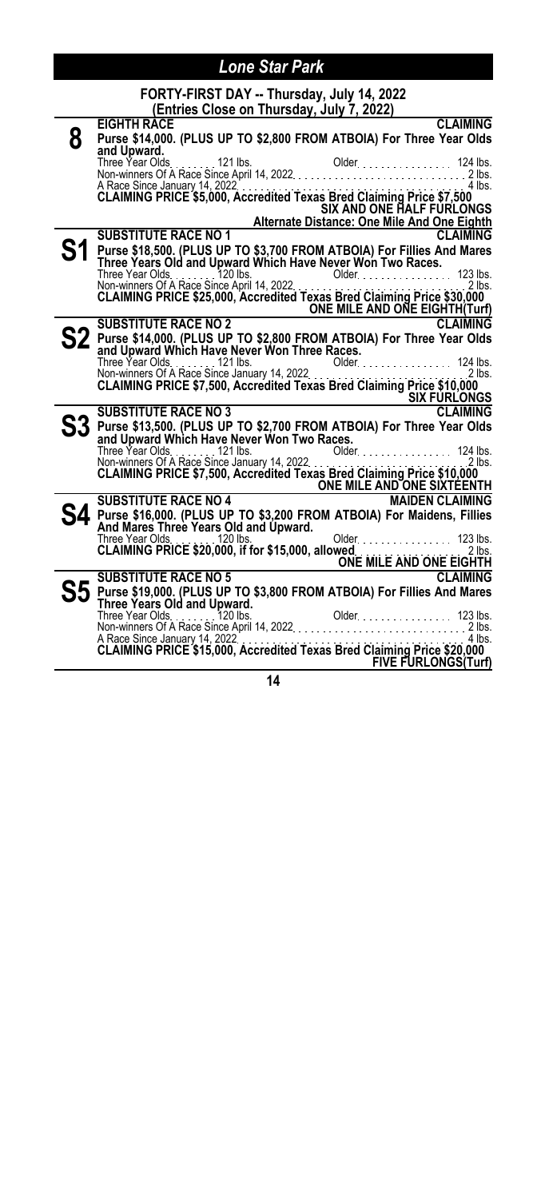|   | FORTY-FIRST DAY -- Thursday, July 14, 2022                                                                                                                                       |
|---|----------------------------------------------------------------------------------------------------------------------------------------------------------------------------------|
|   | (Entries Close on Thursday, July 7, 2022)<br><b>CLAIMING</b><br><b>EIGHTH RACE</b>                                                                                               |
| 8 | Purse \$14,000. (PLUS UP TO \$2,800 FROM ATBOIA) For Three Year Olds                                                                                                             |
|   | and Upward.                                                                                                                                                                      |
|   |                                                                                                                                                                                  |
|   | A Race Since January 14, 2022<br>CLAIMING PRICE \$5,000, Accredited Texas Bred Claiming Price \$7,500                                                                            |
|   | <b>SIX AND ONE HALF FURLONGS</b>                                                                                                                                                 |
|   | Alternate Distance: One Mile And One Eighth                                                                                                                                      |
|   | <b>SUBSTITUTE RACE NO 1</b><br><b>CLAIMING</b>                                                                                                                                   |
|   | Purse \$18,500. (PLUS UP TO \$3,700 FROM ATBOIA) For Fillies And Mares                                                                                                           |
|   | Three Years Old and Upward Which Have Never Won Two Races.                                                                                                                       |
|   | Three Year Olds. The State Since April 14, 2022.<br>Non-winners Of A Race Since April 14, 2022.<br><b>CLAIMING PRICE \$25,000, Accredited Texas Bred Claiming Price \$30,000</b> |
|   |                                                                                                                                                                                  |
|   | SUBSTITUTE RACE NO 2<br>ONE MILE AND ONE EIGHTH(Turf)<br>Runs : 01160 FRACE NO 2                                                                                                 |
|   |                                                                                                                                                                                  |
|   |                                                                                                                                                                                  |
|   |                                                                                                                                                                                  |
|   |                                                                                                                                                                                  |
|   | SIX FURLONGS                                                                                                                                                                     |
|   | <b>SUBSTITUTE RACE NO 3</b><br><b>CLAIMING</b>                                                                                                                                   |
|   | $\mathbf{S3}\ \mathop{\mathrm{g}}\nolimits$ Purse \$13,500. (PLUS UP TO \$2,700 FROM ATBOIA) For Three Year Olds<br>جمهوری است.                                                  |
|   |                                                                                                                                                                                  |
|   |                                                                                                                                                                                  |
|   | Three Year Olds<br>Non-winners Of A Race Since January 14, 2022<br>CLAIMING PRICE \$7,500, Accredited Texas Bred Claiming Price \$10,000                                         |
|   | SUBSTITUTE RACE NO 4 ONE MILE AND ONE SIXTEENTH                                                                                                                                  |
|   |                                                                                                                                                                                  |
|   | Purse \$16,000. (PLUS UP TO \$3,200 FROM ATBOIA) For Maidens, Fillies<br>And Mares Three Years Old and Upward.                                                                   |
|   | Older. 123 lbs.<br>Three Year Olds. 120 lbs.                                                                                                                                     |
|   |                                                                                                                                                                                  |
|   | CLAIMING PRICE \$20,000, If for \$15,000, allowed<br>SUBSTITUTE RACE NO 5<br>SUBSTITUTE RACE NO 5                                                                                |
|   | $\mathbf{S5}$ Purse \$19,000. (PLUS UP TO \$3,800 FROM ATBOIA) For Fillies And Mares                                                                                             |
|   | Three Years Old and Upward.                                                                                                                                                      |
|   |                                                                                                                                                                                  |
|   |                                                                                                                                                                                  |
|   | FIVE FURLONGS(Turf)                                                                                                                                                              |
|   | 14                                                                                                                                                                               |
|   |                                                                                                                                                                                  |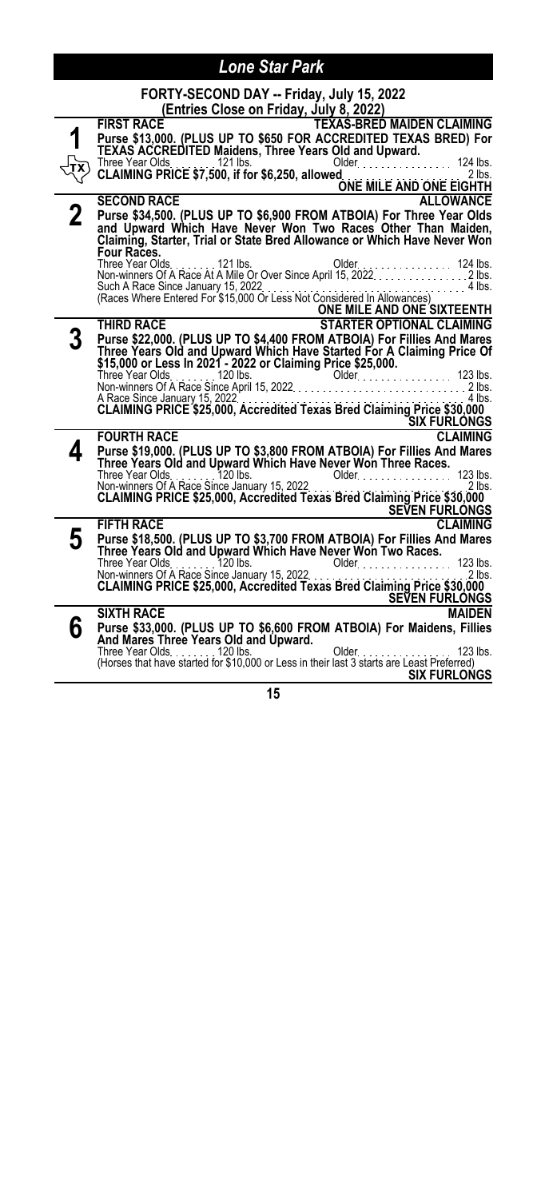|   | FORTY-SECOND DAY -- Friday, July 15, 2022                                                                                                                                            |
|---|--------------------------------------------------------------------------------------------------------------------------------------------------------------------------------------|
|   | (Entries Close on Friday, July 8, 2022)                                                                                                                                              |
|   | <b>TEXAS-BRED MAIDEN CLAIMING</b><br><b>FIRST RACE</b>                                                                                                                               |
|   | Purse \$13,000. (PLUS UP TO \$650 FOR ACCREDITED TEXAS BRED) For                                                                                                                     |
|   | TEXAS ACCREDITED Maidens, Three Years Old and Upward.<br>124 lbs.<br>Three Year Olds121 lbs.                                                                                         |
|   | Older.<br>CLAIMING PRICE \$7,500, if for \$6,250, allowed.<br>.<br>.<br>$2$ lbs.                                                                                                     |
|   | ONE MILE AND ONE EIGHTH                                                                                                                                                              |
|   | <b>SECOND RACE</b><br><b>ALLOWANCE</b>                                                                                                                                               |
| 2 | Purse \$34,500. (PLUS UP TO \$6,900 FROM ATBOIA) For Three Year Olds                                                                                                                 |
|   | and Upward Which Have Never Won Two Races Other Than Maiden,                                                                                                                         |
|   | Claiming, Starter, Trial or State Bred Allowance or Which Have Never Won<br>Four Races.                                                                                              |
|   |                                                                                                                                                                                      |
|   |                                                                                                                                                                                      |
|   | Such A Race Since January 15, 2022<br>(Races Where Entered For \$15,000 Or Less Not Considered In Allowances)                                                                        |
|   | ONE MILE AND ONE SIXTEENTH                                                                                                                                                           |
|   | <b>STARTER OPTIONAL CLAIMING</b><br><b>THIRD RACE</b>                                                                                                                                |
|   | Purse \$22,000. (PLUS UP TO \$4,400 FROM ATBOIA) For Fillies And Mares                                                                                                               |
|   | Three Years Old and Upward Which Have Started For A Claiming Price Of                                                                                                                |
|   | \$15,000 or Less In 2021 - 2022 or Claiming Price \$25,000.                                                                                                                          |
|   |                                                                                                                                                                                      |
|   | Three Year Olds. 123 lbs.<br>Non-winners Of A Race Since April 15, 2022.<br>A Race Since January 15, 2022.<br>CLAIMING PRICE \$25,000, Accredited Texas Bred Claiming Price \$30,000 |
|   |                                                                                                                                                                                      |
|   | <b>SIX FURLONGS</b>                                                                                                                                                                  |
|   | <b>FOURTH RACE</b><br><b>CLAIMING</b>                                                                                                                                                |
|   | Purse \$19,000. (PLUS UP TO \$3,800 FROM ATBOIA) For Fillies And Mares<br>Three Years Old and Upward Which Have Never Won Three Races.                                               |
|   | Three Year Olds. 120 lbs.<br>Older. 123 lbs.                                                                                                                                         |
|   |                                                                                                                                                                                      |
|   | <b>SEVEN FURLÓNGS</b>                                                                                                                                                                |
|   | <b>FIFTH RACE</b><br><b>CLAIMING</b>                                                                                                                                                 |
| 5 |                                                                                                                                                                                      |
|   | Purse \$18,500. (PLUS UP TO \$3,700 FROM ATBOIA) For Fillies And Mares<br>Three Years Old and Upward Which Have Never Won Two Races.                                                 |
|   | $Older$ 123 lbs.<br>Three Year Olds. 120 lbs.                                                                                                                                        |
|   | Non-winners Of A Race Since January 15, 2022<br>CLAIMING PRICE \$25,000, Accredited Texas Bred Claiming Price \$30,000<br>2 lbs.                                                     |
|   | <u>SEVEN FUŘLONGS</u>                                                                                                                                                                |
|   | <b>SIXTH RACE</b><br><b>MAIDEN</b>                                                                                                                                                   |
| 6 | Purse \$33,000. (PLUS UP TO \$6,600 FROM ATBOIA) For Maidens, Fillies                                                                                                                |
|   | And Mares Three Years Old and Upward.                                                                                                                                                |
|   |                                                                                                                                                                                      |
|   | <b>SIX FURLONGS</b>                                                                                                                                                                  |
|   |                                                                                                                                                                                      |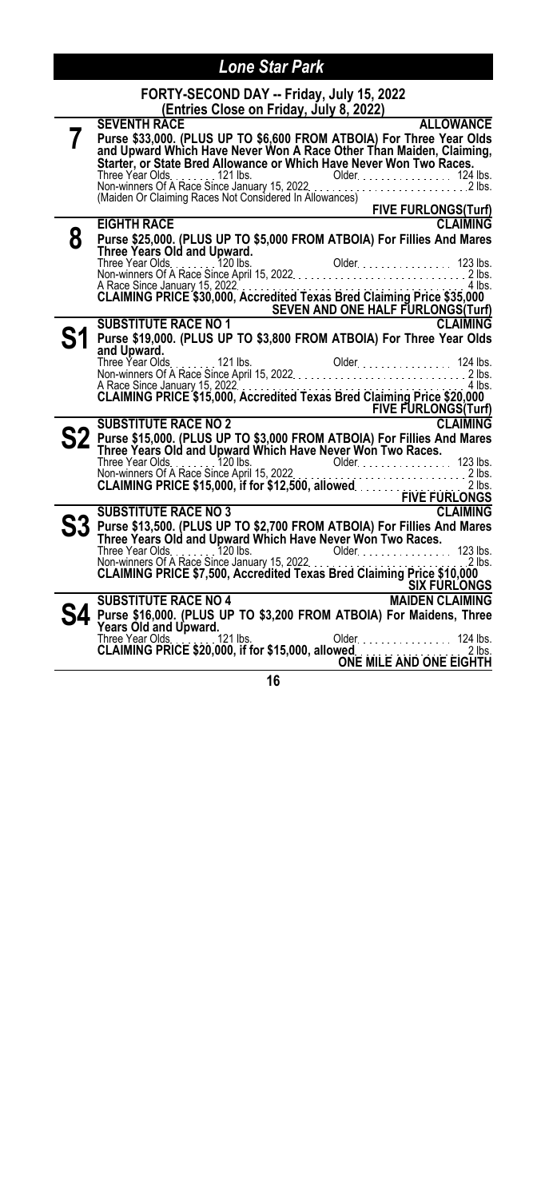# **FORTY-SECOND DAY -- Friday, July 15, 2022**

|   | (Entries Close on Friday, July 8, 2022)                                                                                                                                                                                       |
|---|-------------------------------------------------------------------------------------------------------------------------------------------------------------------------------------------------------------------------------|
|   | <b>SEVENTH RACE</b><br><b>ALLOWANCE</b>                                                                                                                                                                                       |
|   | Purse \$33,000. (PLUS UP TO \$6,600 FROM ATBOIA) For Three Year Olds<br>and Upward Which Have Never Won A Race Other Than Maiden, Claiming,<br>Starter, or State Bred Allowance or Which Have Never Won Two Races.            |
|   |                                                                                                                                                                                                                               |
|   |                                                                                                                                                                                                                               |
|   |                                                                                                                                                                                                                               |
|   |                                                                                                                                                                                                                               |
|   |                                                                                                                                                                                                                               |
|   | <b>EXECUTE FURLONGS(Turf)</b><br><b>EIGHTH RACE</b><br><b>CLAIMING</b>                                                                                                                                                        |
| 8 |                                                                                                                                                                                                                               |
|   | Purse \$25,000. (PLUS UP TO \$5,000 FROM ATBOIA) For Fillies And Mares<br>Three Years Old and Upward.                                                                                                                         |
|   |                                                                                                                                                                                                                               |
|   |                                                                                                                                                                                                                               |
|   |                                                                                                                                                                                                                               |
|   | A Race Since January 15, 2022<br>CLAIMING PRICE \$30,000, Accredited Texas Bred Claiming Price \$35,000                                                                                                                       |
|   | SEVEN AND ONE HALF FURLONGS (Turf)                                                                                                                                                                                            |
|   | <b>CLAIMING</b><br><b>SUBSTITUTE RACE NO 1</b>                                                                                                                                                                                |
|   | Purse \$19,000. (PLUS UP TO \$3,800 FROM ATBOIA) For Three Year Olds                                                                                                                                                          |
|   | and Upward.                                                                                                                                                                                                                   |
|   |                                                                                                                                                                                                                               |
|   |                                                                                                                                                                                                                               |
|   | A Race Since January 15, 2022<br>CLAIMING PRICE \$15,000, Accredited Texas Bred Claiming Price \$20,000                                                                                                                       |
|   |                                                                                                                                                                                                                               |
|   | SUBSTITUTE RACE NO 2<br>BUBSTITUTE RACE NO 2                                                                                                                                                                                  |
|   |                                                                                                                                                                                                                               |
|   | Purse \$15,000. (PLUS UP TO \$3,000 FROM ATBOIA) For Fillies And Mares<br>Three Years Old and Upward Which Have Never Won Two Races.                                                                                          |
|   |                                                                                                                                                                                                                               |
|   | The Year Olds 120 lbs 120 lbs 120 lbs 120 lbs 120 lbs 120 lbs 120 lbs 120 lbs 123 lbs 123 lbs 123 lbs 123 lbs 125 lbs 125 lbs 125 lbs 125 lbs 125 lbs 125 lbs 125 lbs 125 lbs 125 lbs 125 lbs 125 lbs 125 lbs 125 lbs 125 lbs |
|   |                                                                                                                                                                                                                               |
|   |                                                                                                                                                                                                                               |
|   |                                                                                                                                                                                                                               |
|   | ${\bf S3}$ Purse \$13,500. (PLUS UP TO \$2,700 FROM ATBOIA) For Fillies And Mares                                                                                                                                             |
|   | Three Years Old and Upward Which Have Never Won Two Races.                                                                                                                                                                    |
|   |                                                                                                                                                                                                                               |
|   |                                                                                                                                                                                                                               |
|   | SIX FURLONGS                                                                                                                                                                                                                  |
|   | SUBSTITUTE RACE NO 4<br><b>MAIDEN CLAIMING</b>                                                                                                                                                                                |
|   |                                                                                                                                                                                                                               |
|   | Purse \$16,000. (PLUS UP TO \$3,200 FROM ATBOIA) For Maidens, Three Years Old and Upward.                                                                                                                                     |
|   |                                                                                                                                                                                                                               |
|   |                                                                                                                                                                                                                               |
|   |                                                                                                                                                                                                                               |
|   | 16                                                                                                                                                                                                                            |
|   |                                                                                                                                                                                                                               |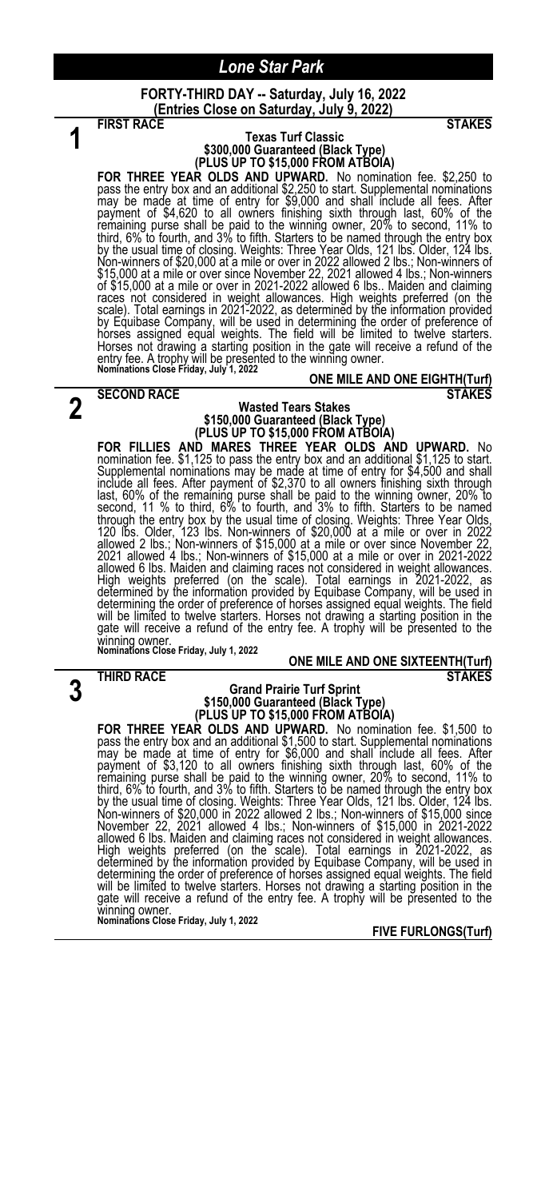**FORTY-THIRD DAY -- Saturday, July 16, 2022 (Entries Close on Saturday, July 9, 2022)**

**1**

#### **FIRST RACE** STAKES **Texas Turf Classic \$300,000 Guaranteed (Black Type) (PLUS UP TO \$15,000 FROM ATBOIA)**

**FOR THREE YEAR OLDS AND UPWARD.** No nomination fee. \$2,250 to pass the entry box and an additional \$2,250 to start. Supplemental nominations may be made at time of entry for \$9,000 and shall include all fees. After payme races not considered in weight allowances. High weights preferred (on the<br>scale). Total earnings in 2021-2022, as determined by the information provided<br>by Equibase Company, will be used in determining the order of prefere Horses not drawing a starting position in the gate will receive a refund of the entry fee. A trophy will be presented to the winning owner. **Nominations Close Friday, July 1, 2022**

**2** SECOND RACE STAKES

#### **ONE MILE AND ONE EIGHTH(Turf)**

#### **Wasted Tears Stakes \$150,000 Guaranteed (Black Type) (PLUS UP TO \$15,000 FROM ATBOIA)**

FOR FILLIES AND MARES THREE YEAR OLDS AND UPWARD. No<br>nomination fee. \$1,125 to pass the entry box and an additional \$1,125 to start.<br>Supplemental nominations may be made at time of entry for \$4,500 and shall<br>include all fe will be limited to twelve starters. Horses not drawing a starting position in the gate will receive a refund of the entry fee. A trophy will be presented to the winning owner. **Nominations Close Friday, July 1, 2022**

#### **ONE MILE AND ONE SIXTEENTH(Turf) THIRD RACE** STAKES

**3**

#### **Grand Prairie Turf Sprint \$150,000 Guaranteed (Black Type) (PLUS UP TO \$15,000 FROM ATBOIA)**

**FOR THREE YEAR OLDS AND UPWARD.** No nomination fee. \$1,500 to pass the entry box and an additional \$1,500 to start. Supplemental nominations may be made at time of entry for \$6,000 and shall include all fees. After payme determining the order of preference of horses assigned equal weights. The field will be limited to twelve starters. Horses not drawing a starting position in the<br>gate will receive a refund of the entry fee. A trophy will be presented to the winning owner. **Nominations Close Friday, July 1, 2022**

**FIVE FURLONGS(Turf)**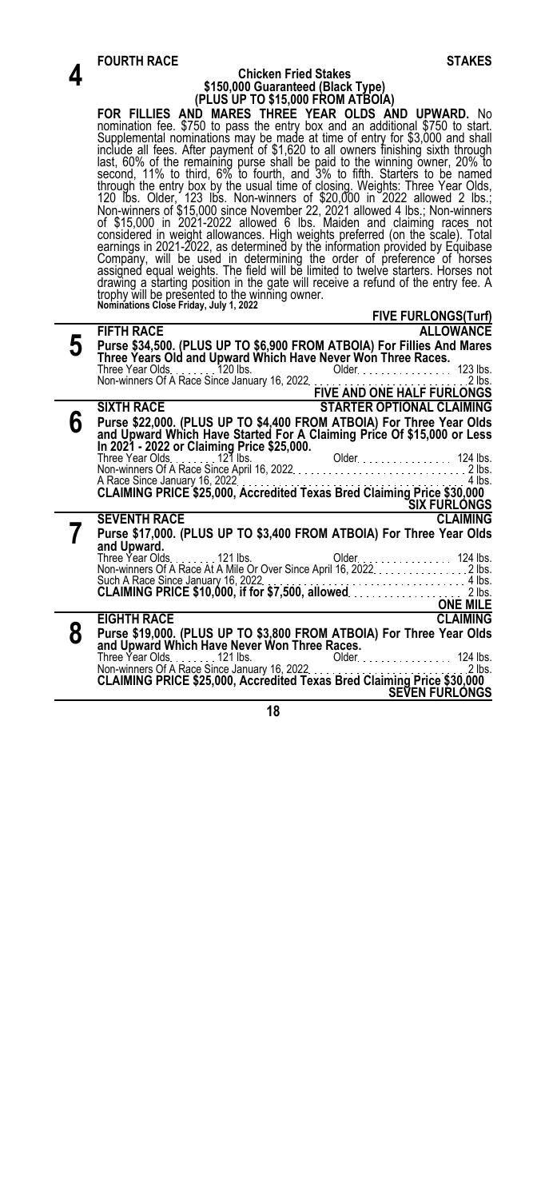|   | <b>FOURTH RACE</b><br><b>STAKES</b>                                                                                                                                                                                                    |
|---|----------------------------------------------------------------------------------------------------------------------------------------------------------------------------------------------------------------------------------------|
|   | <b>Chicken Fried Stakes</b>                                                                                                                                                                                                            |
|   | \$150,000 Guaranteed (Black Type)                                                                                                                                                                                                      |
|   | (PLUS UP TO \$15,000 FROM ATBOIA)                                                                                                                                                                                                      |
|   | FOR FILLIES AND MARES THREE YEAR OLDS AND UPWARD. No                                                                                                                                                                                   |
|   | nomination fee. \$750 to pass the entry box and an additional \$750 to start.<br>Supplemental nominations may be made at time of entry for \$3,000 and shall                                                                           |
|   |                                                                                                                                                                                                                                        |
|   |                                                                                                                                                                                                                                        |
|   | include all fees. After payment of \$1,620 to all owners finishing sixth through<br>last, 60% of the remaining purse shall be paid to the winning owner, 20% to<br>second, 11% to third, 6% to fourth, and 3% to fifth. Starters to b  |
|   |                                                                                                                                                                                                                                        |
|   |                                                                                                                                                                                                                                        |
|   | strongh the entry box by the usual time of closing. Weights: Three Year Olds,<br>120 lbs. Older, 123 lbs. Non-winners of \$20,000 in 2022 allowed 2 lbs.;<br>Non-winners of \$15,000 since November 22, 2021 allowed 4 lbs.; Non-winne |
|   |                                                                                                                                                                                                                                        |
|   | considered in weight allowances. High weights preferred (on the scale). Total earnings in 2021-2022, as determined by the information provided by Equibase                                                                             |
|   | Company, will be used in determining the order of preference of horses<br>assigned equal weights. The field will be limited to twelve starters. Horses not                                                                             |
|   |                                                                                                                                                                                                                                        |
|   | drawing a starting position in the gate will receive a refund of the entry fee. A                                                                                                                                                      |
|   | trophy will be presented to the winning owner.<br>Nominations Close Friday, July 1, 2022                                                                                                                                               |
|   | <b>FIVE FURLONGS(Turf)</b>                                                                                                                                                                                                             |
|   | <b>FIFTH RACE</b><br><b>ALLOWANCE</b>                                                                                                                                                                                                  |
| 5 | Purse \$34,500. (PLUS UP TO \$6,900 FROM ATBOIA) For Fillies And Mares                                                                                                                                                                 |
|   | Three Years Old and Upward Which Have Never Won Three Races.                                                                                                                                                                           |
|   |                                                                                                                                                                                                                                        |
|   | Three Year Olds. 123 lbs.<br>Non-winners Of A Race Since January 16, 2022.<br><b>EIVE AND ONE HALF FURLONGS.</b>                                                                                                                       |
|   | <b>SIXTH RACE</b><br><b>STARTER OPTIONAL CLAIMING</b>                                                                                                                                                                                  |
| 6 |                                                                                                                                                                                                                                        |
|   | Purse \$22,000. (PLUS UP TO \$4,400 FROM ATBOIA) For Three Year Olds<br>and Upward Which Have Started For A Claiming Price Of \$15,000 or Less                                                                                         |
|   |                                                                                                                                                                                                                                        |
|   |                                                                                                                                                                                                                                        |
|   |                                                                                                                                                                                                                                        |
|   | A Race Since January 16, 2022                                                                                                                                                                                                          |
|   | SIX FURLONGS                                                                                                                                                                                                                           |
|   | <b>SEVENTH RACE</b><br><b>CLAIMING</b>                                                                                                                                                                                                 |
|   | Purse \$17,000. (PLUS UP TO \$3,400 FROM ATBOIA) For Three Year Olds                                                                                                                                                                   |
|   | and Upward.                                                                                                                                                                                                                            |
|   |                                                                                                                                                                                                                                        |
|   | Such A Race Since January 16, 2022.<br><b>CLAIMING PRICE \$10,000, if for \$7,500, allowed.</b>                                                                                                                                        |
|   |                                                                                                                                                                                                                                        |
|   | <u>CONE MILE</u><br><b>EIGHTH RACE</b><br><b>CLAIMING</b>                                                                                                                                                                              |
|   |                                                                                                                                                                                                                                        |
| 8 |                                                                                                                                                                                                                                        |
|   |                                                                                                                                                                                                                                        |
|   |                                                                                                                                                                                                                                        |
|   |                                                                                                                                                                                                                                        |
|   | <b>SEVEN FURLONGS</b>                                                                                                                                                                                                                  |
|   | 18                                                                                                                                                                                                                                     |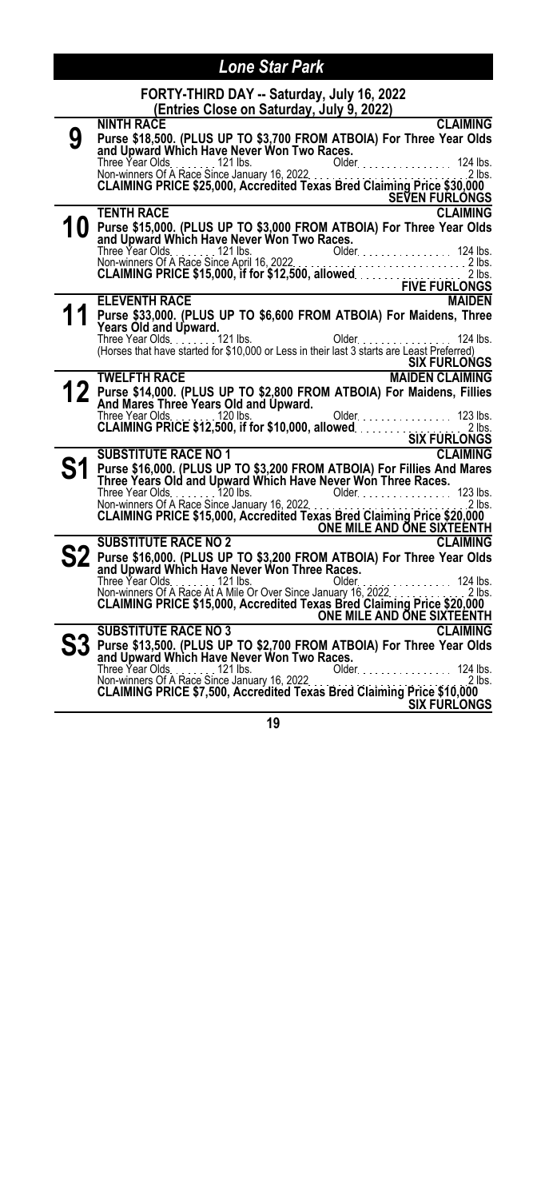|   | FORTY-THIRD DAY -- Saturday, July 16, 2022<br>(Entries Close on Saturday, July 9, 2022)                                                                               |
|---|-----------------------------------------------------------------------------------------------------------------------------------------------------------------------|
|   | <b>CLAIMING</b><br><b>NINTH RACE</b>                                                                                                                                  |
| 9 | Purse \$18,500. (PLUS UP TO \$3,700 FROM ATBOIA) For Three Year Olds                                                                                                  |
|   | and Upward Which Have Never Won Two Races.                                                                                                                            |
|   | Older. 124 lbs.<br>Three Year Olds. 121 lbs.                                                                                                                          |
|   | Dider<br>Non-winners Of A Race Since January 16, 2022<br><b>CLAIMING PRICE \$25,000, Accredited Texas Bred Claiming Price \$30,000</b><br>$2$ lbs.                    |
|   |                                                                                                                                                                       |
|   | <b>SEVEN FURLONGS</b><br><b>TENTH RACE</b><br><b>CLAIMING</b>                                                                                                         |
|   | 10 Purse \$15,000. (PLUS UP TO \$3,000 FROM ATBOIA) For Three Year Olds                                                                                               |
|   | and Upward Which Have Never Won Two Races.                                                                                                                            |
|   |                                                                                                                                                                       |
|   |                                                                                                                                                                       |
|   |                                                                                                                                                                       |
|   |                                                                                                                                                                       |
|   | <b>MAIDEN</b><br><b>ELEVENTH RACE</b>                                                                                                                                 |
|   | Purse \$33,000. (PLUS UP TO \$6,600 FROM ATBOIA) For Maidens, Three                                                                                                   |
|   | Years Old and Upward.                                                                                                                                                 |
|   | Three Year Olds. 121 lbs.<br>Older 124 lbs.<br>(Horses that have started for \$10,000 or Less in their last 3 starts are Least Preferred)                             |
|   | <b>SIX FURLONGS</b>                                                                                                                                                   |
|   | <b>TWELFTH RACE</b><br><b>MAIDEN CLAIMING</b>                                                                                                                         |
|   | Purse \$14,000. (PLUS UP TO \$2,800 FROM ATBOIA) For Maidens, Fillies                                                                                                 |
|   | And Mares Three Years Old and Upward.                                                                                                                                 |
|   | Older. 123 lbs.<br>Three Year Olds. 120 lbs.                                                                                                                          |
|   |                                                                                                                                                                       |
|   | CLAIMING PRICE \$12,500, if for \$10,000, allowed. SIX FURLONGS                                                                                                       |
|   | <b>SUBSTITUTE RACE NO 1</b><br><b>CLAIMING</b>                                                                                                                        |
|   | Purse \$16,000. (PLUS UP TO \$3,200 FROM ATBOIA) For Fillies And Mares                                                                                                |
|   | Three Years Old and Upward Which Have Never Won Three Races.                                                                                                          |
|   |                                                                                                                                                                       |
|   |                                                                                                                                                                       |
|   | ONE MILE AND ONE SIXTEENTH                                                                                                                                            |
|   | <b>SUBSTITUTE RACE NO 2</b><br><b>CLAIMING</b>                                                                                                                        |
|   | Purse \$16,000. (PLUS UP TO \$3,200 FROM ATBOIA) For Three Year Olds and Upward Which Have Never Won Three Races.                                                     |
|   |                                                                                                                                                                       |
|   | Three Year Olds.<br>Non-winners Of A Race At A Mile Or Over Since January 16, 2022.<br><b>CLAIMING PRICE \$15,000, Accredited Texas Bred Claiming Price \$20,000.</b> |
|   |                                                                                                                                                                       |
|   | ONE MILE AND ONE SIXTEENTH                                                                                                                                            |
|   | <b>CLAIMING</b><br><b>SUBSTITUTE RACE NO 3</b>                                                                                                                        |
|   | Purse \$13,500. (PLUS UP TO \$2,700 FROM ATBOIA) For Three Year Olds                                                                                                  |
|   | and Upward Which Have Never Won Two Races.                                                                                                                            |
|   | Older<br>Older 124 lbs.                                                                                                                                               |
|   |                                                                                                                                                                       |
|   | <b>SIX FURLONGS</b>                                                                                                                                                   |
|   | 40                                                                                                                                                                    |
|   |                                                                                                                                                                       |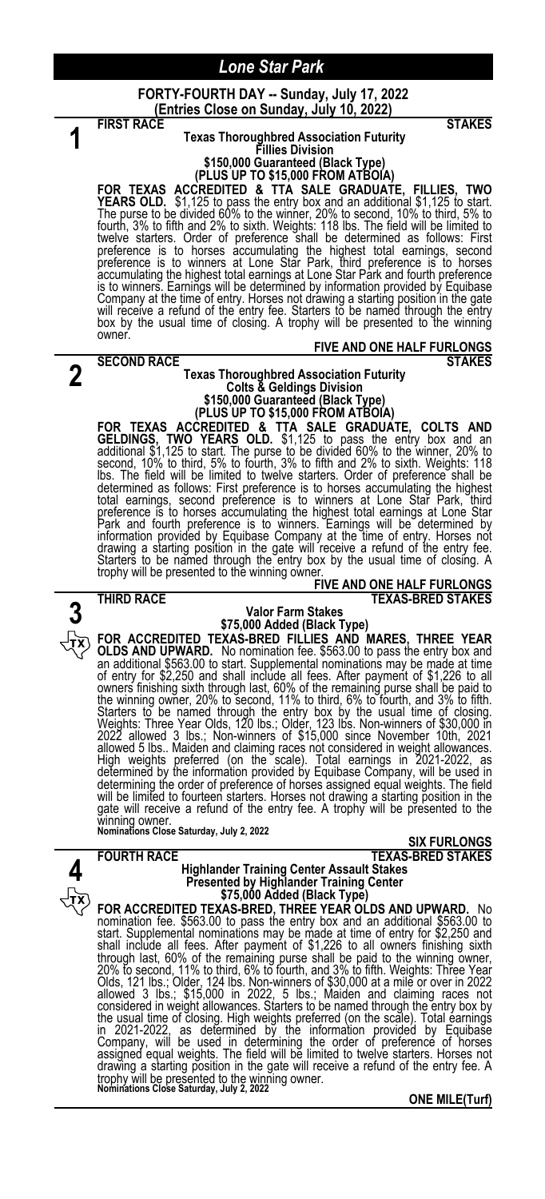#### **FORTY-FOURTH DAY -- Sunday, July 17, 2022 (Entries Close on Sunday, July 10, 2022)**

| STAKES<br><b>FIRST RACE</b>                                                                                                                                           |
|-----------------------------------------------------------------------------------------------------------------------------------------------------------------------|
| <b>Texas Thoroughbred Association Futurity</b>                                                                                                                        |
| <b>Fillies Division</b>                                                                                                                                               |
| \$150,000 Guaranteed (Black Type)<br>(PLUS UP TO \$15,000 FROM ATBOIA)                                                                                                |
| FOR TEXAS ACCREDITED & TTA SALE GRADUATE, FILLIES, TWO                                                                                                                |
| <b>YEARS OLD.</b> \$1,125 to pass the entry box and an additional \$1,125 to start.                                                                                   |
| The purse to be divided 60% to the winner, 20% to second, 10% to third, 5% to                                                                                         |
| fourth, 3% to fifth and 2% to sixth. Weights: 118 lbs. The field will be limited to                                                                                   |
| twelve starters. Order of preference shall be determined as follows: First<br>preference is to horses accumulating the highest total earnings, second                 |
| preference is to winners at Lone Star Park, third preference is to horses                                                                                             |
| accumulating the highest total earnings at Lone Star Park and fourth preference                                                                                       |
| is to winners. Earnings will be determined by information provided by Equibase                                                                                        |
| Company at the time of entry. Horses not drawing a starting position in the gate                                                                                      |
| will receive a refund of the entry fee. Starters to be named through the entry<br>box by the usual time of closing. A trophy will be presented to the winning         |
| owner.                                                                                                                                                                |
| <b>FIVE AND ONE HALF FURLONGS</b>                                                                                                                                     |
| <b>STAKES</b><br><b>SECOND RACE</b>                                                                                                                                   |
| <b>Texas Thoroughbred Association Futurity</b>                                                                                                                        |
| <b>Colts &amp; Geldings Division</b><br>\$150,000 Guaranteed (Black Type)                                                                                             |
| (PLUS UP TO \$15,000 FROM ATBOIA)                                                                                                                                     |
| FOR TEXAS ACCREDITED & TTA SALE GRADUATE, COLTS AND                                                                                                                   |
| GELDINGS, TWO YEARS OLD. \$1,125 to pass the entry box and an additional \$1,125 to start. The purse to be divided 60% to the winner, 20% to                          |
|                                                                                                                                                                       |
| second, 10% to third, 5% to fourth, 3% to fifth and 2% to sixth. Weights: 118<br>Ibs. The field will be limited to twelve starters. Order of preference shall be      |
| determined as follows: First preference is to horses accumulating the highest                                                                                         |
| total earnings, second preference is to winners at Lone Star Park, third                                                                                              |
| preference is to horses accumulating the highest total earnings at Lone Star                                                                                          |
| Park and fourth preference is to winners. Earnings will be determined by                                                                                              |
| information provided by Equibase Company at the time of entry. Horses not<br>drawing a starting position in the gate will receive a refund of the entry fee.          |
| Starters to be named through the entry box by the usual time of closing. A                                                                                            |
| trophy will be presented to the winning owner.                                                                                                                        |
| <b>FIVE AND ONE HALF FURLONGS</b>                                                                                                                                     |
| <b>TEXAS-BRED STAKES</b><br>THIRD RACE<br>Valor Farm Stakes                                                                                                           |
| \$75,000 Added (Black Type)                                                                                                                                           |
| FOR ACCREDITED TEXAS-BRED FILLIES AND MARES, THREE YEAR                                                                                                               |
| OLDS AND UPWARD. No nomination fee. \$563.00 to pass the entry box and                                                                                                |
| an additional \$563.00 to start. Supplemental nominations may be made at time                                                                                         |
| of entry for \$2,250 and shall include all fees. After payment of \$1,226 to all                                                                                      |
| owners finishing sixth through last, 60% of the remaining purse shall be paid to<br>the winning owner, 20% to second, 11% to third, 6% to fourth, and 3% to fifth.    |
| Starters to be named through the entry box by the usual time of closing.                                                                                              |
| Weights: Three Year Olds, 120 lbs.; Older, 123 lbs. Non-winners of \$30,000 in                                                                                        |
| 2022 allowed 3 lbs.; Non-winners of \$15,000 since November 10th, 2021                                                                                                |
| allowed 5 lbs Maiden and claiming races not considered in weight allowances.<br>High weights preferred (on the scale). Total earnings in 2021-2022, as                |
| determined by the information provided by Equibase Company, will be used in                                                                                           |
| determining the order of preference of horses assigned equal weights. The field                                                                                       |
| will be limited to fourteen starters. Horses not drawing a starting position in the<br>gate will receive a refund of the entry fee. A trophy will be presented to the |
| winning owner.                                                                                                                                                        |
| <b>Nominations Close Saturday, July 2, 2022</b>                                                                                                                       |
| <b>SIX FURLONGS</b>                                                                                                                                                   |
| <b>FOURTH RACE</b><br>TEXAS-BRED STAKES<br><b>Highlander Training Center Assault Stakes</b>                                                                           |
| <b>Presented by Highlander Training Center</b>                                                                                                                        |
| \$75,000 Added (Black Type)                                                                                                                                           |
| FOR ACCREDITED TEXAS-BRED, THREE YEAR OLDS AND UPWARD. No                                                                                                             |
| nomination fee. \$563.00 to pass the entry box and an additional \$563.00 to                                                                                          |
| start. Supplemental nominations may be made at time of entry for \$2,250 and                                                                                          |
| shall include all fees. After payment of \$1,226 to all owners finishing sixth<br>through last, 60% of the remaining purse shall be paid to the winning owner,        |
| 20% to second, 11% to third, 6% to fourth, and 3% to fifth. Weights: Three Year                                                                                       |
| Olds, 121 lbs.; Older, 124 lbs. Non-winners of \$30,000 at a mile or over in 2022<br>allowed 3 lbs.; \$15,000 in 2022, 5 lbs.; Maiden and claiming races not          |
|                                                                                                                                                                       |
| considered in weight allowances. Starters to be named through the entry box by<br>the usual time of closing. High weights preferred (on the scale). Total earnings    |
| in 2021-2022, as determined by the information provided by Equibase                                                                                                   |
| Company, will be used in determining the order of preference of horses                                                                                                |
| assigned equal weights. The field will be limited to twelve starters. Horses not                                                                                      |
| drawing a starting position in the gate will receive a refund of the entry fee. A<br>trophy will be presented to the winning owner.                                   |
| Nominations Close Saturday, July 2, 2022                                                                                                                              |
| <b>ONE MILE(Turf)</b>                                                                                                                                                 |
|                                                                                                                                                                       |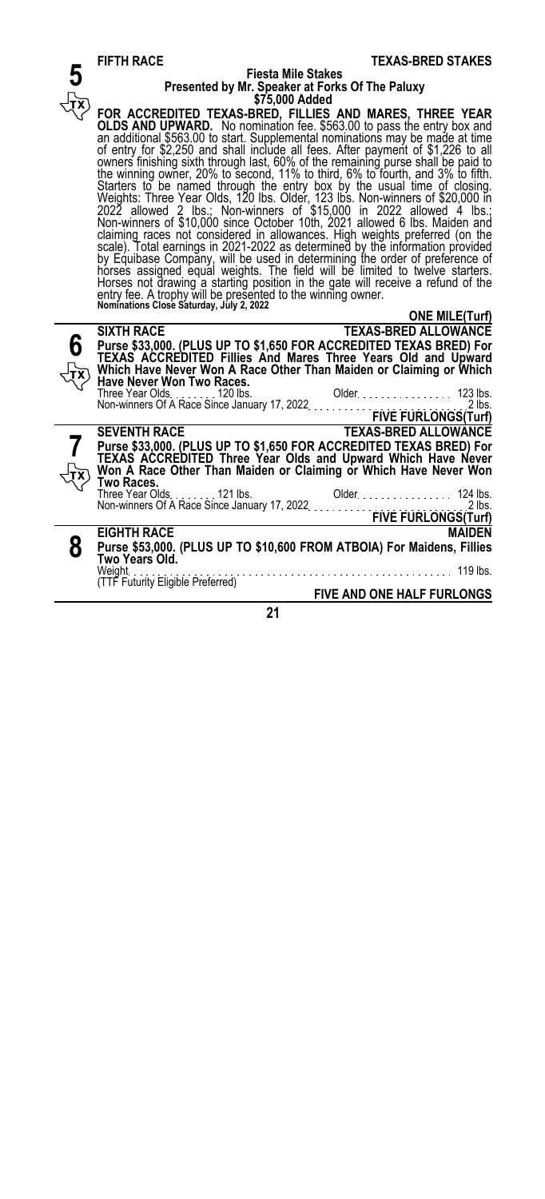|   | FIF IN RAVE<br>I EAAS-DREU STANES                                                                                                                                                                                                 |
|---|-----------------------------------------------------------------------------------------------------------------------------------------------------------------------------------------------------------------------------------|
|   | <b>Fiesta Mile Stakes</b>                                                                                                                                                                                                         |
|   | Presented by Mr. Speaker at Forks Of The Paluxy                                                                                                                                                                                   |
|   | \$75,000 Added                                                                                                                                                                                                                    |
|   |                                                                                                                                                                                                                                   |
|   | FOR ACCREDITED TEXAS-BRED, FILLIES AND MARES, THREE YEAR                                                                                                                                                                          |
|   | OLDS AND UPWARD. No nomination fee. \$563.00 to pass the entry box and                                                                                                                                                            |
|   | an additional \$563.00 to start. Supplemental nominations may be made at time                                                                                                                                                     |
|   | of entry for \$2,250 and shall include all fees. After payment of \$1,226 to all                                                                                                                                                  |
|   |                                                                                                                                                                                                                                   |
|   | owners finishing sixth through last, 60% of the remaining purse shall be paid to the winning owner, 20% to second, 11% to third, 6% to fourth, and 3% to fifth.                                                                   |
|   |                                                                                                                                                                                                                                   |
|   |                                                                                                                                                                                                                                   |
|   | Starters to be named through the entry box by the usual time of closing.<br>Weights: Three Year Olds, 120 lbs. Older, 123 lbs. Non-winners of \$20,000 in<br>2022 allowed 2 lbs.; Non-winners of \$15,000 in 2022 allowed 4 lbs.; |
|   | Non-winners of \$10,000 since October 10th, 2021 allowed 6 lbs. Maiden and                                                                                                                                                        |
|   |                                                                                                                                                                                                                                   |
|   | claiming races not considered in allowances. High weights preferred (on the scale). Total earnings in 2021-2022 as determined by the information provided                                                                         |
|   |                                                                                                                                                                                                                                   |
|   |                                                                                                                                                                                                                                   |
|   | by Equibase Company, will be used in determining the order of preference of horses assigned equal weights. The field will be limited to twelve starters.                                                                          |
|   | Horses not drawing a starting position in the gate will receive a refund of the                                                                                                                                                   |
|   | entry fee. A trophy will be presented to the winning owner.<br>Nominations Close Saturday, July 2, 2022                                                                                                                           |
|   |                                                                                                                                                                                                                                   |
|   | <b>ONE MILE(Turf)</b>                                                                                                                                                                                                             |
|   | TEXAS-BRED ALLOWANCE<br><b>SIXTH RACE</b>                                                                                                                                                                                         |
|   |                                                                                                                                                                                                                                   |
|   | Purse \$33,000. (PLUS UP TO \$1,650 FOR ACCREDITED TEXAS BRED) For<br>TEXAS ACCREDITED Fillies And Mares Three Years Old and Upward<br>Which Have Never Won A Race Other Than Maiden or Claiming or Which                         |
|   |                                                                                                                                                                                                                                   |
|   |                                                                                                                                                                                                                                   |
|   |                                                                                                                                                                                                                                   |
|   |                                                                                                                                                                                                                                   |
|   |                                                                                                                                                                                                                                   |
|   |                                                                                                                                                                                                                                   |
|   | TEXAS-BRED ALLOWANCE<br><b>SEVENTH RACE</b>                                                                                                                                                                                       |
|   | Purse \$33,000. (PLUS UP TO \$1,650 FOR ACCREDITED TEXAS BRED) For<br>TEXAS  ACCREDITED  Three Year Olds  and Upward Which Have Never<br>Won A Race Other Than Maiden or Claiming or Which Have Never Won                         |
|   |                                                                                                                                                                                                                                   |
|   |                                                                                                                                                                                                                                   |
|   | Two Races.                                                                                                                                                                                                                        |
|   |                                                                                                                                                                                                                                   |
|   |                                                                                                                                                                                                                                   |
|   |                                                                                                                                                                                                                                   |
|   | <b>EIGHTH RACE</b><br><b>MAIDEN</b>                                                                                                                                                                                               |
|   |                                                                                                                                                                                                                                   |
| 8 | Purse \$53,000. (PLUS UP TO \$10,600 FROM ATBOIA) For Maidens, Fillies                                                                                                                                                            |
|   | Two Years Old.                                                                                                                                                                                                                    |
|   | 119 lbs.<br>Weight                                                                                                                                                                                                                |
|   | (TTF Futurity Eligible Preferred)                                                                                                                                                                                                 |
|   | <b>FIVE AND ONE HALF FURLONGS</b>                                                                                                                                                                                                 |

**FIFTH RACE** TEXAS-BRED STAKES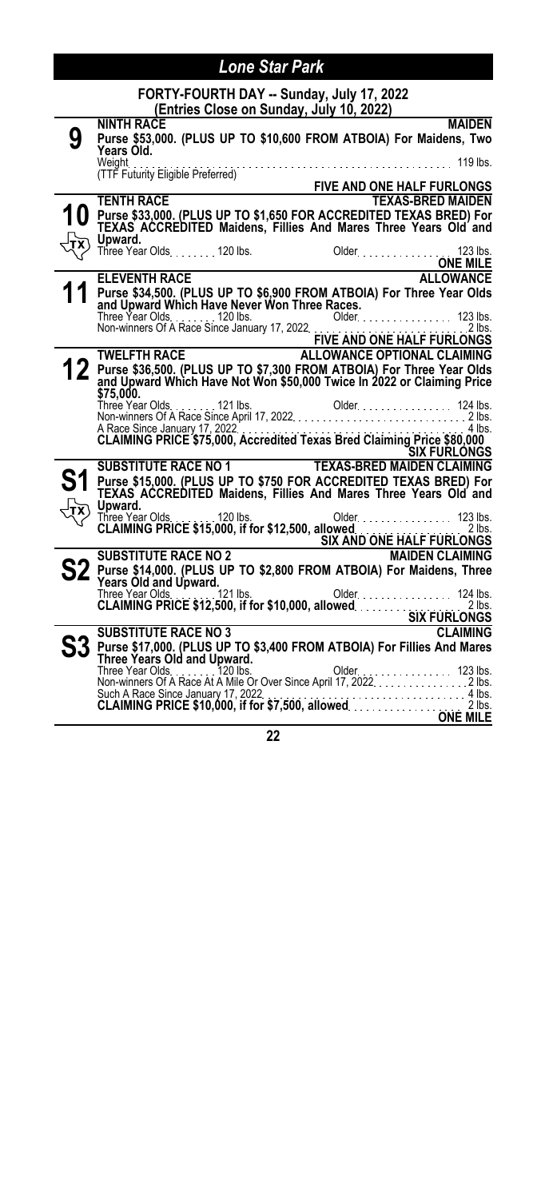|           | <b>Lone Star Park</b>                                                                                                                            |
|-----------|--------------------------------------------------------------------------------------------------------------------------------------------------|
|           | FORTY-FOURTH DAY -- Sunday, July 17, 2022<br>(Entries Close on Sunday, July 10, 2022)                                                            |
| 9         | <b>MAIDEN</b><br><b>NINTH RACE</b><br>Purse \$53,000. (PLUS UP TO \$10,600 FROM ATBOIA) For Maidens, Two<br>Years Old.                           |
|           | Weight<br>(TTF Futurity Eligible Preferred)<br>FIVE AND ONE HALF FURLONGS<br>TENTH RACE                                                          |
|           | <b>TENTH RACE</b><br><b>TEXAS-BRED MAIDEN</b>                                                                                                    |
|           | Purse \$33,000. (PLUS UP TO \$1,650 FOR ACCREDITED TEXAS BRED) For<br>TEXAS ACCREDITED Maidens, Fillies And Mares Three Years Old and<br>Upward. |
|           |                                                                                                                                                  |
|           | <b>ELEVENTH RACE</b><br><b>ALLOWANCE</b>                                                                                                         |
|           | Purse \$34,500. (PLUS UP TO \$6,900 FROM ATBOIA) For Three Year Olds<br>and Upward Which Have Never Won Three Races.                             |
|           |                                                                                                                                                  |
|           |                                                                                                                                                  |
| <u> 2</u> | Purse \$36,500. (PLUS UP TO \$7,300 FROM ATBOIA) For Three Year Olds<br>and Upward Which Have Not Won \$50,000 Twice In 2022 or Claiming Price   |
|           |                                                                                                                                                  |
|           |                                                                                                                                                  |
|           | A Race Since January 17, 2022<br>CLAIMING PRICE \$75,000, Accredited Texas Bred Claiming Price \$80,000<br>SIX FURLONGS                          |
|           |                                                                                                                                                  |
|           | SUBSTITUTE RACE NO 1 TEXAS-BRED MAIDEN CLAIMING                                                                                                  |
|           | Purse \$15,000. (PLUS UP TO \$750 FOR ACCREDITED TEXAS BRED) For<br>TEXAS ACCREDITED Maidens, Fillies And Mares Three Years Old and              |
|           | Upward.<br>Older Marshall 123 lbs.<br>Three Year Olds 120 lbs.                                                                                   |
|           | CLAIMING PRICE \$15,000, If for \$12,500, allowed<br>SIX AND ONE HALF FURLONGS<br>MAIDEN CLAIMING                                                |
|           |                                                                                                                                                  |
|           | Purse \$14,000. (PLUS UP TO \$2,800 FROM ATBOIA) For Maidens, Three<br>Years Old and Upward.                                                     |
|           |                                                                                                                                                  |
|           | <b>SUBSTITUTE RACE NO 3</b>                                                                                                                      |
|           | <b>CLAIMING</b>                                                                                                                                  |
|           |                                                                                                                                                  |
|           | Such A Race Since January 17, 2022                                                                                                               |
|           | Such A Race Since January 17, 2022.<br><b>CLAIMING PRICE \$10,000, if for \$7,500, allowed</b>                                                   |
|           | <b>ONE MILE</b>                                                                                                                                  |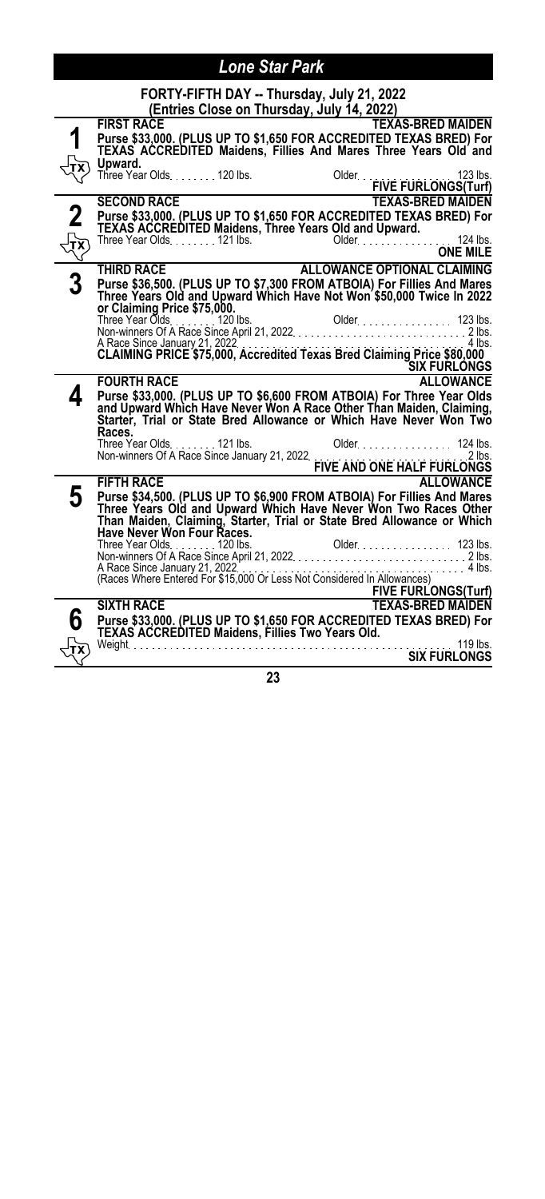|       | FORTY-FIFTH DAY -- Thursday, July 21, 2022                                                                                                                              |
|-------|-------------------------------------------------------------------------------------------------------------------------------------------------------------------------|
|       | (Entries Close on Thursday, July 14, 2022)                                                                                                                              |
|       | <b>TEXAS-BRED MAIDEN</b><br><b>FIRST RACE</b>                                                                                                                           |
|       | Purse \$33,000. (PLUS UP TO \$1,650 FOR ACCREDITED TEXAS BRED) For<br>TEXAS ACCREDITED Maidens, Fillies And Mares Three Years Old and                                   |
|       | Upward.<br>Three Year Olds 120 lbs.                                                                                                                                     |
|       | Older<br>FIVE FURLONGS(Turf)                                                                                                                                            |
|       | <b>TEXAS-BRED MAIDEN</b><br><b>SECOND RACE</b>                                                                                                                          |
| 2     | Purse \$33,000. (PLUS UP TO \$1,650 FOR ACCREDITED TEXAS BRED) For                                                                                                      |
|       |                                                                                                                                                                         |
| र्नुर | ONE MILE                                                                                                                                                                |
|       | <b>ALLOWANCE OPTIONAL CLAIMING</b><br><b>THIRD RACE</b>                                                                                                                 |
|       | Purse \$36,500. (PLUS UP TO \$7,300 FROM ATBOIA) For Fillies And Mares<br>Three Years Old and Upward Which Have Not Won \$50,000 Twice In 2022                          |
|       | or Claiming Price \$75,000.                                                                                                                                             |
|       |                                                                                                                                                                         |
|       |                                                                                                                                                                         |
|       |                                                                                                                                                                         |
|       | <u>SIX FURLONGS</u><br><b>FOURTH RACE</b><br><b>ALLOWANCE</b>                                                                                                           |
|       |                                                                                                                                                                         |
|       | Purse \$33,000. (PLUS UP TO \$6,600 FROM ATBOIA) For Three Year Olds<br>and Upward Which Have Never Won A Race Other Than Maiden, Claiming,                             |
|       | Starter, Trial or State Bred Allowance or Which Have Never Won Two<br>Races.                                                                                            |
|       |                                                                                                                                                                         |
|       |                                                                                                                                                                         |
|       | <b>FIFTH RACE</b><br><b>ALLOWANCE</b>                                                                                                                                   |
| 5     | Purse \$34,500. (PLUS UP TO \$6,900 FROM ATBOIA) For Fillies And Mares                                                                                                  |
|       | Three Years Old and Upward Which Have Never Won Two Races Other<br>Than Maiden, Claiming, Starter, Trial or State Bred Allowance or Which<br>Have Never Won Four Races. |
|       |                                                                                                                                                                         |
|       |                                                                                                                                                                         |
|       | A Race Since January 21, 2022<br>(Races Where Entered For \$15,000 Or Less Not Considered In Allowances)                                                                |
|       |                                                                                                                                                                         |
|       | <b>EIVE FURLONGS(Turf)</b><br><b>SIXTH RACE</b><br><b>TEXAS-BRED MAIDEN</b>                                                                                             |
|       | Purse \$33,000. (PLUS UP TO \$1,650 FOR ACCREDITED TEXAS BRED) For                                                                                                      |
|       |                                                                                                                                                                         |
| TХ    | <b>SIX FURLONGS</b>                                                                                                                                                     |
|       | ົ                                                                                                                                                                       |

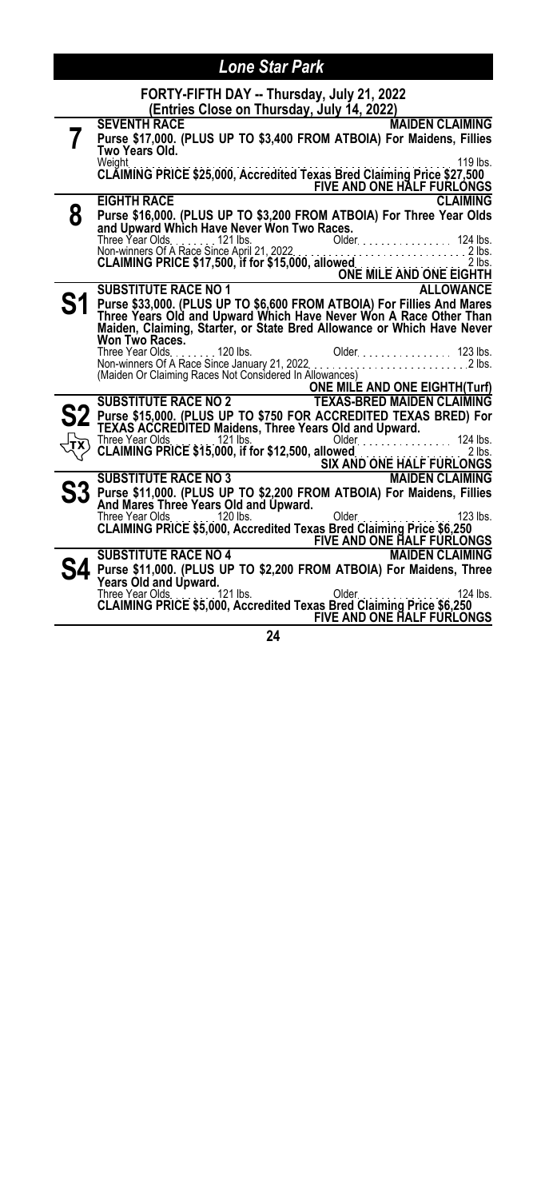|   | FORTY-FIFTH DAY -- Thursday, July 21, 2022                                                                                                  |
|---|---------------------------------------------------------------------------------------------------------------------------------------------|
|   | (Entries Close on Thursday, July 14, 2022)                                                                                                  |
|   | <b>SEVENTH RACE</b><br><b>MAIDEN CLAIMING</b>                                                                                               |
|   | Purse \$17,000. (PLUS UP TO \$3,400 FROM ATBOIA) For Maidens, Fillies                                                                       |
|   | Two Years Old.<br>Weight<br>119 lbs.                                                                                                        |
|   | CLAIMING PRICE \$25,000, Accredited Texas Bred Claiming Price \$27,500                                                                      |
|   | FIVE AND ONE HALF FURLONGS                                                                                                                  |
|   | <b>EIGHTH RACE</b><br><b>CLAIMING</b>                                                                                                       |
| 8 | Purse \$16,000. (PLUS UP TO \$3,200 FROM ATBOIA) For Three Year Olds                                                                        |
|   | and Upward Which Have Never Won Two Races.                                                                                                  |
|   | Three Year Olds. 121 lbs.<br>Older 124 lbs.                                                                                                 |
|   |                                                                                                                                             |
|   |                                                                                                                                             |
|   | <b>ALLOWANCE</b><br><b>SUBSTITUTE RACE NO 1</b>                                                                                             |
|   | Purse \$33,000. (PLUS UP TO \$6,600 FROM ATBOIA) For Fillies And Mares                                                                      |
|   | Three Years Old and Upward Which Have Never Won A Race Other Than<br>Maiden, Claiming, Starter, or State Bred Allowance or Which Have Never |
|   | Won Two Races.                                                                                                                              |
|   | Older 123 lbs.<br>Three Year Olds. 120 lbs.                                                                                                 |
|   | Triree rear Olds120 lbs.<br>Non-winners Of A Race Since January 21, 2022<br>. 2 lbs.                                                        |
|   | (Maiden Or Claiming Races Not Considered In Allowances)<br><b>ONE MILE AND ONE EIGHTH(Turf)</b>                                             |
|   | <b>SUBSTITUTE RACE NO 2</b><br><b>TEXAS-BRED MAIDEN CLAIMING</b>                                                                            |
|   | Purse \$15,000. (PLUS UP TO \$750 FOR ACCREDITED TEXAS BRED) For                                                                            |
|   | TEXAS ACCREDITED Maidens, Three Years Old and Upward.                                                                                       |
|   | 124 lbs.<br>Older.                                                                                                                          |
|   | $2$ lbs.                                                                                                                                    |
|   | <b>SIX AND ONE HALF FURLONGS</b><br><b>SUBSTITUTE RACE NO 3</b><br><b>MAIDEN CLAIMING</b>                                                   |
|   | Purse \$11,000. (PLUS UP TO \$2,200 FROM ATBOIA) For Maidens, Fillies                                                                       |
|   | And Mares Three Years Old and Upward.                                                                                                       |
|   | Three Year Olds 120 lbs.<br>Older.<br>$123$ lbs.                                                                                            |
|   | CLAIMING PRICE \$5,000, Accredited Texas Bred Claiming Price \$6,250                                                                        |
|   | <b>FIVE AND ONE HALF FURLONGS</b>                                                                                                           |
|   | <b>SUBSTITUTE RACE NO 4</b><br><b>MAIDEN CLAIMING</b>                                                                                       |
|   | Purse \$11,000. (PLUS UP TO \$2,200 FROM ATBOIA) For Maidens, Three<br><b>Years Old and Upward.</b>                                         |
|   | Three Year Olds.<br>121 lbs.<br>124 lbs.<br>Older.                                                                                          |
|   | CLAIMING PRICE \$5,000, Accredited Texas Bred Claiming Price \$6,250                                                                        |
|   | FIVE AND ONE HALF FURLONGS                                                                                                                  |
|   |                                                                                                                                             |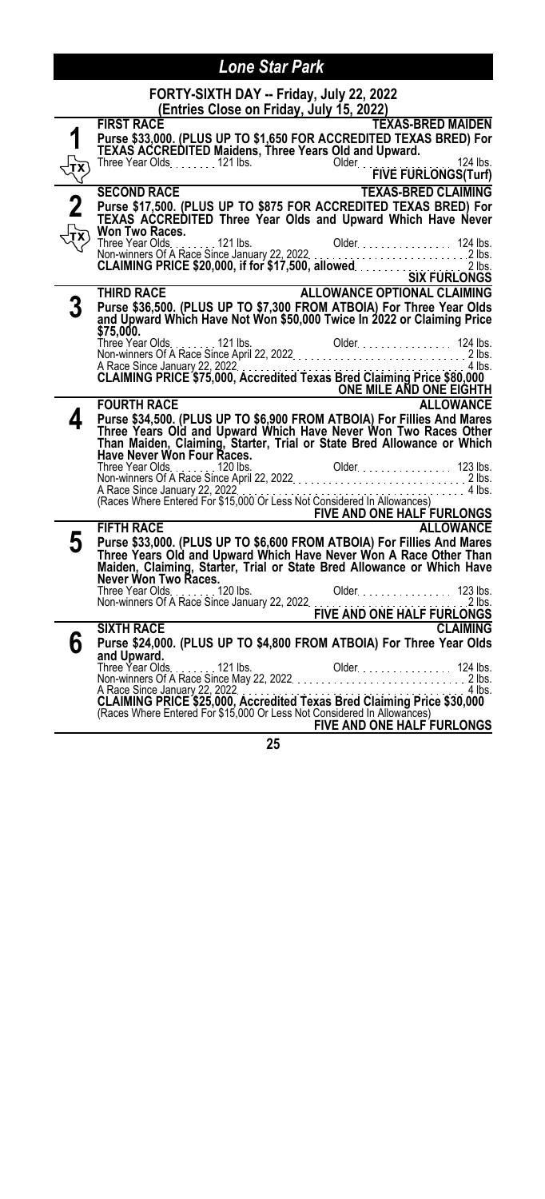|                      | FORTY-SIXTH DAY -- Friday, July 22, 2022<br>(Entries Close on Friday, July 15, 2022)                                                                                                                                           |
|----------------------|--------------------------------------------------------------------------------------------------------------------------------------------------------------------------------------------------------------------------------|
|                      | <b>FIRST RACE</b><br><b>TEXAS-BRED MAIDEN</b>                                                                                                                                                                                  |
| 1                    | Purse \$33,000. (PLUS UP TO \$1,650 FOR ACCREDITED TEXAS BRED) For                                                                                                                                                             |
|                      | <b>TEXAS ACCREDITED Maidens, Three Years Old and Upward.</b>                                                                                                                                                                   |
|                      |                                                                                                                                                                                                                                |
| $\frac{\sqrt{1}}{2}$ | Older<br>FIVE FURLONGS(Turf)                                                                                                                                                                                                   |
|                      | <b>TEXAS-BRED CLAIMING</b><br><b>SECOND RACE</b>                                                                                                                                                                               |
|                      | Purse \$17,500. (PLUS UP TO \$875 FOR ACCREDITED TEXAS BRED) For<br>TEXAS ACCREDITED Three Year Olds and Upward Which Have Never                                                                                               |
|                      |                                                                                                                                                                                                                                |
|                      | Won Two Races.                                                                                                                                                                                                                 |
|                      | Three Year Olds. 121 lbs.                                                                                                                                                                                                      |
|                      |                                                                                                                                                                                                                                |
|                      | Three Year Olds. 124 lbs. Older. 124 lbs. 124 lbs. 124 lbs. 2 lbs. 124 lbs. 2 lbs. 2 lbs. 2 lbs. 2 lbs. 2 lbs. 2 lbs. 2 lbs. 2 lbs. 2 lbs. 2 lbs. 2 lbs. 2 lbs. 2 lbs. 2 lbs. 2 lbs. 2 lbs. 2 lbs. 2 lbs. 2 lbs. 2 lbs. 2 lbs. |
|                      | ALLOWANCE OPTIONAL CLAIMING<br><b>THIRD RACE</b>                                                                                                                                                                               |
|                      |                                                                                                                                                                                                                                |
|                      | Purse \$36,500. (PLUS UP TO \$7,300 FROM ATBOIA) For Three Year Olds<br>and Upward Which Have Not Won \$50,000 Twice In 2022 or Claiming Price                                                                                 |
|                      | \$75,000.                                                                                                                                                                                                                      |
|                      |                                                                                                                                                                                                                                |
|                      | A Race Since January 22, 2022<br>CLAIMING PRICE \$75,000, Accredited Texas Bred Claiming Price \$80,000                                                                                                                        |
|                      | ONE MILE AND ONE EIGHTH                                                                                                                                                                                                        |
|                      | <b>FOURTH RACE</b><br><b>ALLOWANCE</b>                                                                                                                                                                                         |
| 4                    | Purse \$34,500. (PLUS UP TO \$6,900 FROM ATBOIA) For Fillies And Mares                                                                                                                                                         |
|                      | Three Years Old and Upward Which Have Never Won Two Races Other<br>Than Maiden, Claiming, Starter, Trial or State Bred Allowance or Which<br>Have Never Won Four Races.                                                        |
|                      |                                                                                                                                                                                                                                |
|                      |                                                                                                                                                                                                                                |
|                      |                                                                                                                                                                                                                                |
|                      |                                                                                                                                                                                                                                |
|                      |                                                                                                                                                                                                                                |
|                      | FIVE AND ONE HALF FURLONGS                                                                                                                                                                                                     |
|                      | <b>FIFTH RACE</b><br>ALLOWANCE                                                                                                                                                                                                 |
| 5                    | Purse \$33,000. (PLUS UP TO \$6,600 FROM ATBOIA) For Fillies And Mares                                                                                                                                                         |
|                      | Three Years Old and Upward Which Have Never Won A Race Other Than<br>Maiden, Claiming, Starter, Trial or State Bred Allowance or Which Have                                                                                    |
|                      | Never Won Two Races.                                                                                                                                                                                                           |
|                      |                                                                                                                                                                                                                                |
|                      |                                                                                                                                                                                                                                |
|                      | <b>EIVE AND ONE HALF FURLONGS</b><br><b>SIXTH RACE</b><br><b>CLAIMING</b>                                                                                                                                                      |
|                      |                                                                                                                                                                                                                                |
| 6                    | Purse \$24,000. (PLUS UP TO \$4,800 FROM ATBOIA) For Three Year Olds<br>and Upward.                                                                                                                                            |
|                      | Three Year Olds. 121 lbs.                                                                                                                                                                                                      |
|                      |                                                                                                                                                                                                                                |
|                      | A Race Since January 22, 2022<br>$4$ lbs.                                                                                                                                                                                      |
|                      | A Race Since January 22, 2022.<br><b>CLAIMING PRICE \$25,000, Accredited Texas Bred Claiming Price \$30,000</b><br>(Races Where Entered For \$15,000 Or Less Not Considered In Allowances)                                     |
|                      | <b>FIVE AND ONE HALF FURLONGS</b>                                                                                                                                                                                              |
|                      |                                                                                                                                                                                                                                |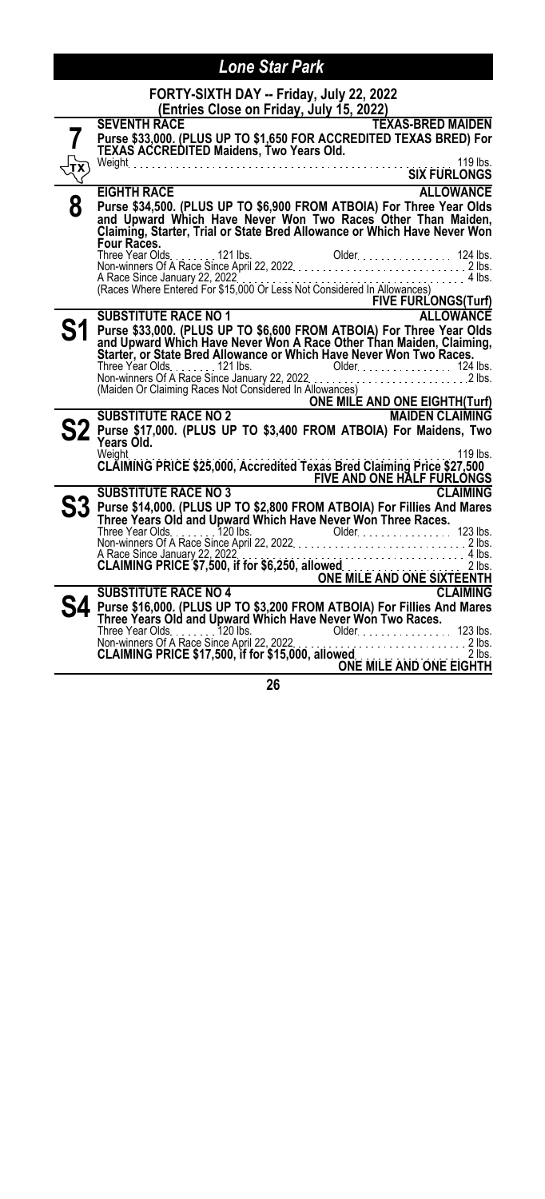|   | FORTY-SIXTH DAY -- Friday, July 22, 2022<br>(Entries Close on Friday, July 15, 2022)                                                                                                                                                       |
|---|--------------------------------------------------------------------------------------------------------------------------------------------------------------------------------------------------------------------------------------------|
|   | <b>SEVENTH RACE</b><br><b>TEXAS-BRED MAIDEN</b><br>Purse \$33,000. (PLUS UP TO \$1,650 FOR ACCREDITED TEXAS BRED) For<br>TEXAS ACCREDITED Maidens, Two Years Old.                                                                          |
|   | 119 lbs.<br><b>SIX FURLONGS</b>                                                                                                                                                                                                            |
| 8 | <b>EIGHTH RACE</b><br><b>ALLOWANCE</b>                                                                                                                                                                                                     |
|   | Purse \$34,500. (PLUS UP TO \$6,900 FROM ATBOIA) For Three Year Olds<br>and Upward Which Have Never Won Two Races Other Than Maiden,<br>Claim <u>i</u> ng, Starter, Trial or State Bred Allowance or Which Have Never Won<br>Four Races.   |
|   | A Race Since January 22, 2022<br>(Races Where Entered For \$15,000 Or Less Not Considered In Allowances)                                                                                                                                   |
|   | SUBSTITUTE RACE NO 1<br>Pull and the Contract of Contract of Contract of Contract of Contract of Contract of Contract of Contract of C<br>Pull and Contract of Contract of Contract of Contract of Contract of Contract of Contract        |
|   |                                                                                                                                                                                                                                            |
|   | Purse \$33,000. (PLUS UP TO \$6,600 FROM ATBOIA) For Three Year Olds<br>and Upward Which Have Never Won A Race Other Than Maiden, Claiming,<br>Starter, or State Bred Allowance or Which Have Never Won Two Races.                         |
|   |                                                                                                                                                                                                                                            |
|   | Three Year Olds<br>Non-winners Of A Race Since January 22, 2022<br>Mon-winners Of A Race Since January 22, 2022<br>2 lbs.<br>(Maiden Or Claiming Races Not Considered In Allowances)<br>SUBSTITUTE RACE NO 2 ONE MILE AND ONE EIGHTH(Turf) |
|   |                                                                                                                                                                                                                                            |
|   | Purse \$17,000. (PLUS UP TO \$3,400 FROM ATBOIA) For Maidens, Two<br>Years Old.<br>Weight.<br>119 lbs.                                                                                                                                     |
|   | CLAIMING PRICE \$25,000, Accredited Texas Bred Claiming Price \$27,500<br>FIVE AND ONE HALF FURLONGS                                                                                                                                       |
|   | <b>SUBSTITUTE RACE NO 3</b><br><b>CLAIMING</b>                                                                                                                                                                                             |
|   | S3 Purse \$14,000. (PLUS UP TO \$2,800 FROM ATBOIA) For Fillies And Mares<br>Three Years Old and Upward Which Have Never Won Three Races.                                                                                                  |
|   |                                                                                                                                                                                                                                            |
|   | A Race Since January 22, 2022.<br>CLAIMING PRICE \$7,500, if for \$6,250, allowed.<br>ONE MILE AND ONE SIXTEENTH<br>SURSTITUTE PACE NO 4                                                                                                   |
|   | <b>SUBSTITUTE RACE NO 4</b><br><b>CLAIMING</b>                                                                                                                                                                                             |
|   | Purse \$16,000. (PLUS UP TO \$3,200 FROM ATBOIA) For Fillies And Mares<br>Three Years Old and Upward Which Have Never Won Two Races.                                                                                                       |
|   | Three Year Olds. 123 lbs.<br>Non-winners Of A Race Since April 22, 2022.<br><b>CLAIMING PRICE \$17,500, if for \$15,000, allowed</b><br>ONE MILE AND ONE EIGHTH                                                                            |
|   | n r                                                                                                                                                                                                                                        |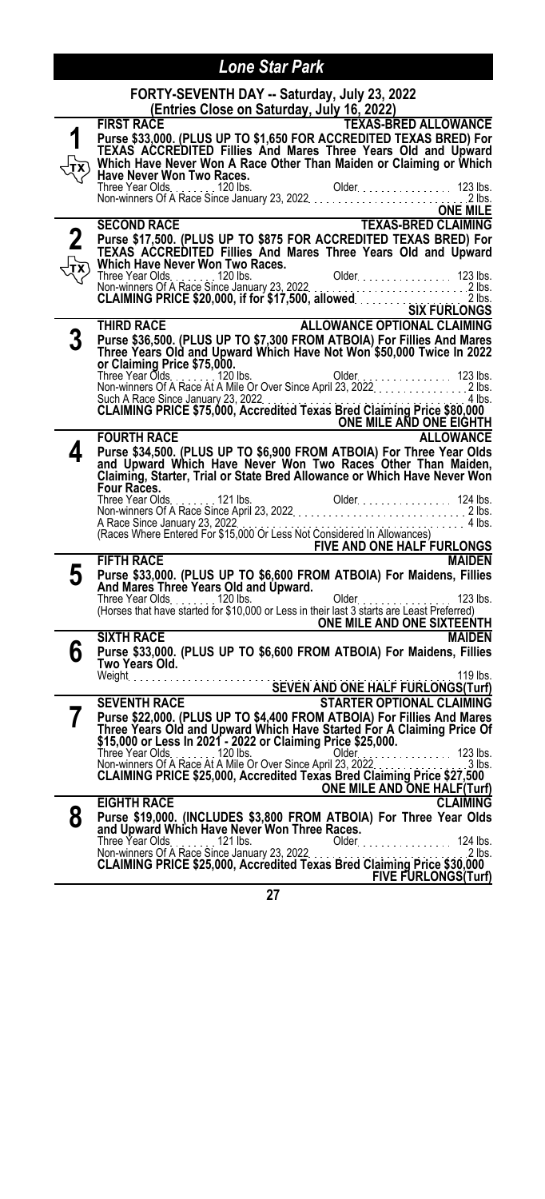|   | FORTY-SEVENTH DAY -- Saturday, July 23, 2022<br>(Entries Close on Saturday, July 16, 2022)                                                                                                                                                 |
|---|--------------------------------------------------------------------------------------------------------------------------------------------------------------------------------------------------------------------------------------------|
|   | <b>TEXAS-BRED ALLOWANCE</b><br><b>FIRST RACE</b>                                                                                                                                                                                           |
|   |                                                                                                                                                                                                                                            |
|   | Purse \$33,000. (PLUS UP TO \$1,650 FOR ACCREDITED TEXAS BRED) For<br>TEXAS ACCREDITED Fillies And Mares Three Years Old and Upward                                                                                                        |
|   |                                                                                                                                                                                                                                            |
|   | Which Have Never Won A Race Other Than Maiden or Claiming or Which<br><b>Have Never Won Two Races.</b>                                                                                                                                     |
|   |                                                                                                                                                                                                                                            |
|   |                                                                                                                                                                                                                                            |
|   | ONE MILE                                                                                                                                                                                                                                   |
|   | ONE MILE<br>TEXAS-BRED CLAIMING<br><b>SECOND RACE</b>                                                                                                                                                                                      |
|   | Purse \$17,500. (PLUS UP TO \$875 FOR ACCREDITED TEXAS BRED) For                                                                                                                                                                           |
|   | TEXAS ACCREDITED Fillies And Mares Three Years Old and Upward                                                                                                                                                                              |
|   | Which Have Never Won Two Races.                                                                                                                                                                                                            |
|   |                                                                                                                                                                                                                                            |
|   |                                                                                                                                                                                                                                            |
|   |                                                                                                                                                                                                                                            |
|   |                                                                                                                                                                                                                                            |
|   | <b>ALLOWANCE OPTIONAL CLAIMING</b><br>THIRD RACE                                                                                                                                                                                           |
| 3 | Purse \$36,500. (PLUS UP TO \$7,300 FROM ATBOIA) For Fillies And Mares                                                                                                                                                                     |
|   | Three Years Old and Upward Which Have Not Won \$50,000 Twice In 2022                                                                                                                                                                       |
|   | or Claiming Price \$75,000.                                                                                                                                                                                                                |
|   |                                                                                                                                                                                                                                            |
|   |                                                                                                                                                                                                                                            |
|   | Such A Race Since January 23, 2022. The research of Claiming Price \$80,000                                                                                                                                                                |
|   | ONE MILE AND ONE EIGHTH                                                                                                                                                                                                                    |
|   | <b>ALLOWANCE</b><br><b>FOURTH RACE</b>                                                                                                                                                                                                     |
| 4 | Purse \$34,500. (PLUS UP TO \$6,900 FROM ATBOIA) For Three Year Olds                                                                                                                                                                       |
|   | and Upward Which Have Never Won Two Races Other Than Maiden,                                                                                                                                                                               |
|   | Claiming, Starter, Trial or State Bred Allowance or Which Have Never Won                                                                                                                                                                   |
|   | Four Races.                                                                                                                                                                                                                                |
|   | Three Year Olds<br>Non-winners Of A Race Since April 23, 2022<br>A Race Since January 23, 2022<br>A Race Since January 23, 2022<br>(Races Where Entered For \$15,000 Or Less Not Considered In Allowances)<br>(Races Where Entered For \$1 |
|   |                                                                                                                                                                                                                                            |
|   |                                                                                                                                                                                                                                            |
|   | FIVE AND ONE HALF FURLONGS                                                                                                                                                                                                                 |
|   | <b>MAIDEN</b><br><b>FIFTH RACE</b>                                                                                                                                                                                                         |
| 5 | Purse \$33,000. (PLUS UP TO \$6,600 FROM ATBOIA) For Maidens, Fillies                                                                                                                                                                      |
|   | And Mares Three Years Old and Upward.                                                                                                                                                                                                      |
|   |                                                                                                                                                                                                                                            |
|   |                                                                                                                                                                                                                                            |
|   | <b>ONE MILE AND ONE SIXTEENTH</b>                                                                                                                                                                                                          |
|   | <b>SIXTH RACE</b><br><b>MAIDEN</b>                                                                                                                                                                                                         |
| 6 | Purse \$33,000. (PLUS UP TO \$6,600 FROM ATBOIA) For Maidens, Fillies                                                                                                                                                                      |
|   | Two Years Old.                                                                                                                                                                                                                             |
|   |                                                                                                                                                                                                                                            |
|   | SEVEN AND ONE HALF FURLONGS(Turf)<br>SEVENTH RACE SEVEN AND ONE HALF FURLONGS(Turf)                                                                                                                                                        |
|   | <b>STARTER OPTIONAL CLAIMING</b>                                                                                                                                                                                                           |
| 7 | Purse \$22,000. (PLUS UP TO \$4,400 FROM ATBOIA) For Fillies And Mares                                                                                                                                                                     |
|   | Three Years Old and Upward Which Have Started For A Claiming Price Of<br>\$15,000 or Less In 2021 - 2022 or Claiming Price \$25,000.                                                                                                       |
|   |                                                                                                                                                                                                                                            |
|   | Three Year Olds.<br>Non-winners Of A Race At A Mile Or Over Since April 23, 2022.<br>123 lbs.<br>$3 \text{ lbs}$                                                                                                                           |
|   | CLAIMING PRICE \$25,000, Accredited Texas Bred Claiming Price \$27,500                                                                                                                                                                     |
|   | ONE MILE AND ONE HALF(Turf)                                                                                                                                                                                                                |
|   | <b>EIGHTH RACE</b><br><b>CLAIMING</b>                                                                                                                                                                                                      |
| 8 | Purse \$19,000. (INCLUDES \$3,800 FROM ATBOIA) For Three Year Olds                                                                                                                                                                         |
|   | and Upward Which Have Never Won Three Races.                                                                                                                                                                                               |
|   | $Older$<br>124 lbs.                                                                                                                                                                                                                        |
|   | Non-winners Of A Race Since January 23, 2022.<br>2 lbs.                                                                                                                                                                                    |
|   | CLAIMING PRICE \$25,000, Accredited Texas Bred Claiming Price \$30,000                                                                                                                                                                     |
|   | <b>FIVE FURLONGS(Turf)</b>                                                                                                                                                                                                                 |
|   |                                                                                                                                                                                                                                            |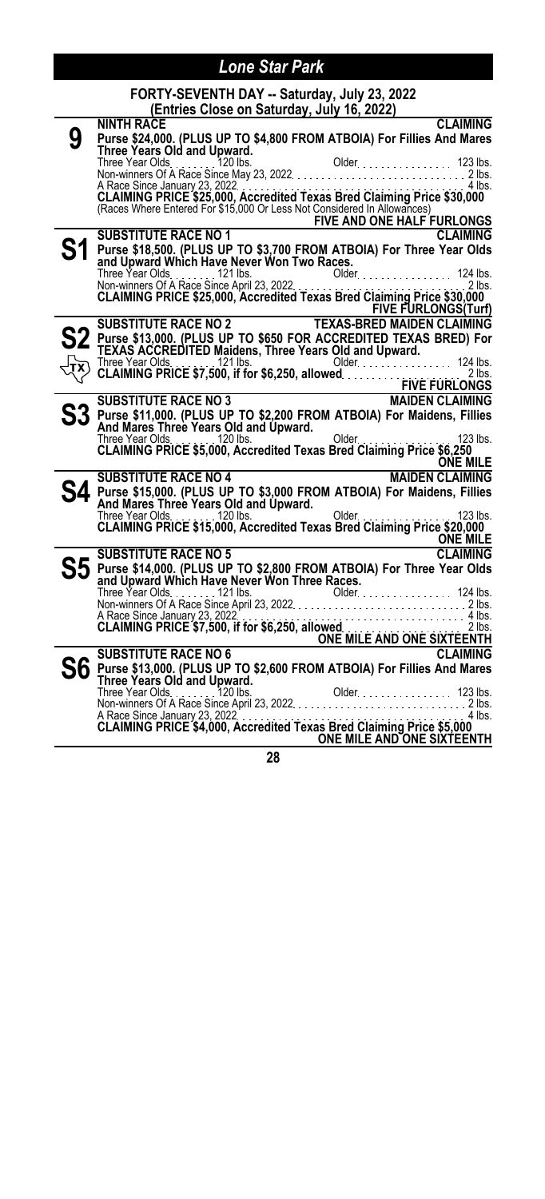#### **FORTY-SEVENTH DAY -- Saturday, July 23, 2022 (Entries Close on Saturday, July 16, 2022)**

|                | (Entries Close on Saturday, July 16, 2022)                                                                                                                                                                                                  |
|----------------|---------------------------------------------------------------------------------------------------------------------------------------------------------------------------------------------------------------------------------------------|
|                | <b>CLAIMING</b><br><b>NINTH RACE</b>                                                                                                                                                                                                        |
| 9              | Purse \$24,000. (PLUS UP TO \$4,800 FROM ATBOIA) For Fillies And Mares<br>Three Years Old and Upward.                                                                                                                                       |
|                |                                                                                                                                                                                                                                             |
|                |                                                                                                                                                                                                                                             |
|                |                                                                                                                                                                                                                                             |
|                |                                                                                                                                                                                                                                             |
|                | A Race Since January 23, 2022<br>CLAIMING PRICE \$25,000, Accredited Texas Bred Claiming Price \$30,000<br>(Races Where Entered For \$15,000 Or Less Not Considered In Allowances)                                                          |
|                |                                                                                                                                                                                                                                             |
|                |                                                                                                                                                                                                                                             |
|                | SUBSTITUTE RACE NO 1<br>Purse \$49 FOR 1979 THE AND ONE HALF FURLONGS<br>Purse \$49 FOR 1971 THE RACE NO 1<br><b>CLAIMING</b>                                                                                                               |
| S <sub>1</sub> | Purse \$18,500. (PLUS UP TO \$3,700 FROM ATBOIA) For Three Year Olds<br>and Upward Which Have Never Won Two Races.                                                                                                                          |
|                |                                                                                                                                                                                                                                             |
|                | Three Year Olds.<br>Three Year Olds. 124 lbs.<br>Non-winners Of A Race Since April 23, 2022.<br><b>CLAIMING PRICE \$25,000, Accredited Texas Bred Claiming Price \$30,000</b>                                                               |
|                |                                                                                                                                                                                                                                             |
|                |                                                                                                                                                                                                                                             |
|                | <b>FIVE FURLONGS(Turf)</b>                                                                                                                                                                                                                  |
|                |                                                                                                                                                                                                                                             |
|                |                                                                                                                                                                                                                                             |
|                |                                                                                                                                                                                                                                             |
|                |                                                                                                                                                                                                                                             |
|                |                                                                                                                                                                                                                                             |
|                |                                                                                                                                                                                                                                             |
|                | S2 Purse \$13,000. (PLUS UP TO \$650 FOR ACCREDITED TEXAS BRED) For<br>TEXAS ACCREDITED Maidens, Three Years Old and Upward.<br>TX CLAIMING PRICE \$7,500, if for \$6,250, allowed.<br>FIVE FURLONGS<br>PIPER CLAIMING PRICE \$7,500, if fo |
|                |                                                                                                                                                                                                                                             |
|                |                                                                                                                                                                                                                                             |
|                |                                                                                                                                                                                                                                             |
|                |                                                                                                                                                                                                                                             |
|                | ONE MILE<br>ONE MILE<br>SUBSTITUTE RACE NO 4 MAIDEN CLAIMING                                                                                                                                                                                |
|                |                                                                                                                                                                                                                                             |
|                | $\mathsf{S4}\xspace$ Purse \$15,000. (PLUS UP TO \$3,000 FROM ATBOIA) For Maidens, Fillies<br>And Mares Three Years Old and Upward.                                                                                                         |
|                |                                                                                                                                                                                                                                             |
|                | And mares in the Years Old and Upward.<br>Three Year Olds 120 lbs.<br>CLAIMING PRICE \$15,000, Accredited Texas Bred Claiming Price \$20,000                                                                                                |
|                |                                                                                                                                                                                                                                             |
|                | <b>ONE MILE</b>                                                                                                                                                                                                                             |
|                | <b>CLAIMING</b><br><b>SUBSTITUTE RACE NO 5</b>                                                                                                                                                                                              |
|                |                                                                                                                                                                                                                                             |
|                |                                                                                                                                                                                                                                             |
|                |                                                                                                                                                                                                                                             |
|                |                                                                                                                                                                                                                                             |
|                |                                                                                                                                                                                                                                             |
|                |                                                                                                                                                                                                                                             |
|                |                                                                                                                                                                                                                                             |
|                |                                                                                                                                                                                                                                             |
|                | <b>S6</b> Purse \$13,000. (PLUS UP TO \$2,600 FROM ATBOIA) For Fillies And Mares<br>Three Years Old and Upward.                                                                                                                             |
|                |                                                                                                                                                                                                                                             |
|                |                                                                                                                                                                                                                                             |
|                |                                                                                                                                                                                                                                             |
|                | A Race Since January 23, 2022<br>CLAIMING PRICE \$4,000, Accredited Texas Bred Claiming Price \$5,000                                                                                                                                       |
|                | ONE MILE AND ONE SIXTEENTH                                                                                                                                                                                                                  |
|                |                                                                                                                                                                                                                                             |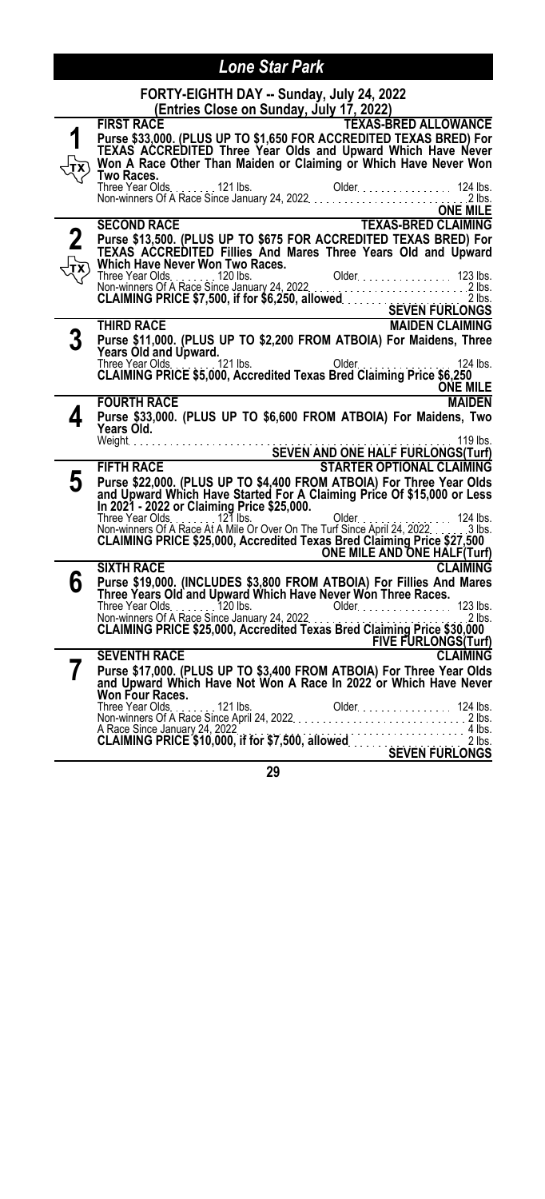| FORTY-EIGHTH DAY -- Sunday, July 24, 2022 |  |
|-------------------------------------------|--|
|                                           |  |

|          | ,,<br><u>(Entries Close on Sunday, July 17, 2022)</u>                                                                                          |
|----------|------------------------------------------------------------------------------------------------------------------------------------------------|
|          | <b>FIRST RACE</b><br><b>TEXAS-BRED ALLOWANCE</b>                                                                                               |
|          | Purse \$33,000. (PLUS UP TO \$1,650 FOR ACCREDITED TEXAS BRED) For<br>TEXAS ACCREDITED Three Year Olds and Upward Which Have Never             |
|          | Won A Race Other Than Maiden or Claiming or Which Have Never Won                                                                               |
|          | Two Races.                                                                                                                                     |
|          |                                                                                                                                                |
|          | <b>ONE MILE</b>                                                                                                                                |
|          | <b>SECOND RACE</b>                                                                                                                             |
| $\bf{2}$ | Purse \$13,500. (PLUS UP TO \$675 FOR ACCREDITED TEXAS BRED) For                                                                               |
|          | TEXAS ACCREDITED Fillies And Mares Three Years Old and Upward                                                                                  |
|          | Which Have Never Won Two Races.                                                                                                                |
|          |                                                                                                                                                |
|          |                                                                                                                                                |
|          |                                                                                                                                                |
|          | Purse \$11,000. (PLUS UP TO \$2,200 FROM ATBOIA) For Maidens, Three                                                                            |
|          | Years Old and Upward.                                                                                                                          |
|          | The Year Olds $\frac{121 \text{ lbs}}{200 \text{ kg}}$ Dider<br>124 lbs.                                                                       |
|          | CLAIMING PRICE \$5,000, Accredited Texas Bred Claiming Price \$6,250<br><b>ONE MILE</b>                                                        |
|          | <b>FOURTH RACE</b><br><b>MAIDEN</b>                                                                                                            |
| 4        | Purse \$33,000. (PLUS UP TO \$6,600 FROM ATBOIA) For Maidens, Two                                                                              |
|          | Years Old.                                                                                                                                     |
|          |                                                                                                                                                |
|          | <b>FIFTH RACE</b><br><b>STARTER OPTIONAL CLAIMING</b>                                                                                          |
| 5        | Purse \$22,000. (PLUS UP TO \$4,400 FROM ATBOIA) For Three Year Olds<br>and Upward Which Have Started For A Claiming Price Of \$15,000 or Less |
|          |                                                                                                                                                |
|          | In 2021 - 2022 or Claiming Price \$25,000.                                                                                                     |
|          |                                                                                                                                                |
|          | ONE MILE AND ONE HALF(Turf)                                                                                                                    |
|          | <b>SIXTH RACE</b><br><b>CLAIMING</b>                                                                                                           |
| 6        | Purse \$19,000. (INCLUDES \$3,800 FROM ATBOIA) For Fillies And Mares                                                                           |
|          | Three Years Old and Upward Which Have Never Won Three Races.                                                                                   |
|          |                                                                                                                                                |
|          |                                                                                                                                                |
|          | <b>FIVE FURLONGS</b> (Turf)                                                                                                                    |
|          | <b>CLAIMING</b><br><b>SEVENTH RACE</b>                                                                                                         |
| 7        | Purse \$17,000. (PLUS UP TO \$3,400 FROM ATBOIA) For Three Year Olds<br>and Upward Which Have Not Won A Race In 2022 or Which Have Never       |
|          | Won Four Races.                                                                                                                                |
|          |                                                                                                                                                |
|          |                                                                                                                                                |
|          |                                                                                                                                                |
|          |                                                                                                                                                |